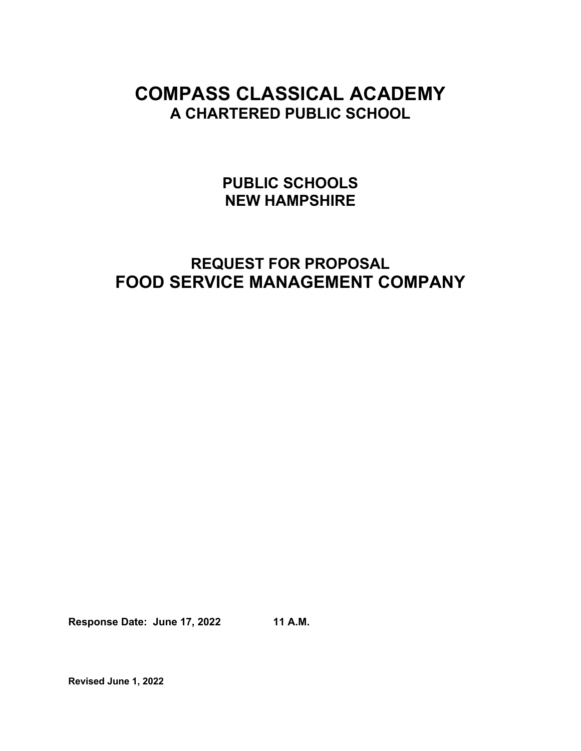# **COMPASS CLASSICAL ACADEMY A CHARTERED PUBLIC SCHOOL**

**PUBLIC SCHOOLS NEW HAMPSHIRE**

## **REQUEST FOR PROPOSAL FOOD SERVICE MANAGEMENT COMPANY**

**Response Date: June 17, 2022 11 A.M.**

**Revised June 1, 2022**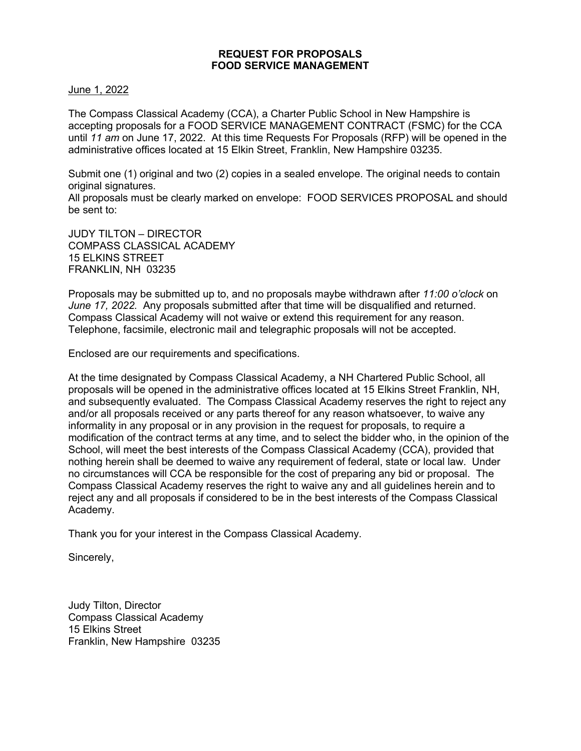#### **REQUEST FOR PROPOSALS FOOD SERVICE MANAGEMENT**

June 1, 2022

be sent to:

The Compass Classical Academy (CCA), a Charter Public School in New Hampshire is accepting proposals for a FOOD SERVICE MANAGEMENT CONTRACT (FSMC) for the CCA until *11 am* on June 17, 2022. At this time Requests For Proposals (RFP) will be opened in the administrative offices located at 15 Elkin Street, Franklin, New Hampshire 03235.

Submit one (1) original and two (2) copies in a sealed envelope. The original needs to contain original signatures. All proposals must be clearly marked on envelope: FOOD SERVICES PROPOSAL and should

JUDY TILTON – DIRECTOR COMPASS CLASSICAL ACADEMY 15 ELKINS STREET FRANKLIN, NH 03235

Proposals may be submitted up to, and no proposals maybe withdrawn after *11:00 o'clock* on *June 17, 2022.* Any proposals submitted after that time will be disqualified and returned. Compass Classical Academy will not waive or extend this requirement for any reason. Telephone, facsimile, electronic mail and telegraphic proposals will not be accepted.

Enclosed are our requirements and specifications.

At the time designated by Compass Classical Academy, a NH Chartered Public School, all proposals will be opened in the administrative offices located at 15 Elkins Street Franklin, NH, and subsequently evaluated. The Compass Classical Academy reserves the right to reject any and/or all proposals received or any parts thereof for any reason whatsoever, to waive any informality in any proposal or in any provision in the request for proposals, to require a modification of the contract terms at any time, and to select the bidder who, in the opinion of the School, will meet the best interests of the Compass Classical Academy (CCA), provided that nothing herein shall be deemed to waive any requirement of federal, state or local law. Under no circumstances will CCA be responsible for the cost of preparing any bid or proposal. The Compass Classical Academy reserves the right to waive any and all guidelines herein and to reject any and all proposals if considered to be in the best interests of the Compass Classical Academy.

Thank you for your interest in the Compass Classical Academy.

Sincerely,

Judy Tilton, Director Compass Classical Academy 15 Elkins Street Franklin, New Hampshire 03235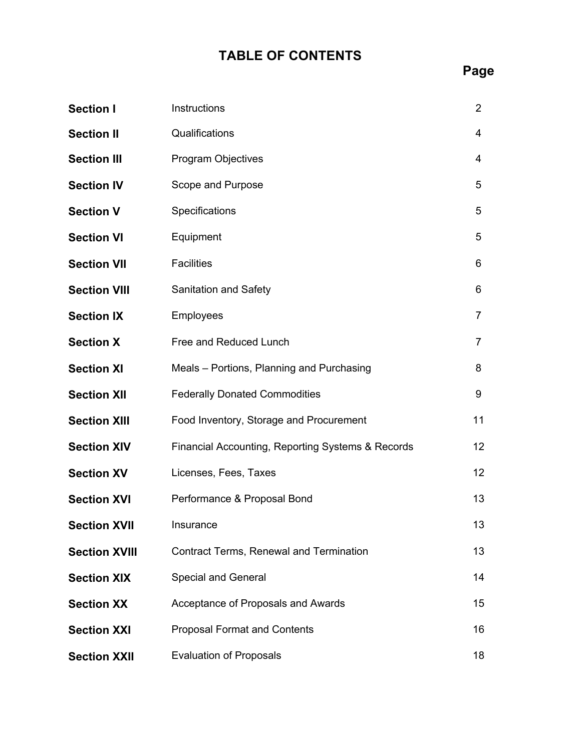# **TABLE OF CONTENTS**

| <b>Section I</b>     | Instructions                                      | $\overline{2}$ |
|----------------------|---------------------------------------------------|----------------|
| <b>Section II</b>    | Qualifications                                    | 4              |
| <b>Section III</b>   | <b>Program Objectives</b>                         | 4              |
| <b>Section IV</b>    | Scope and Purpose                                 | 5              |
| <b>Section V</b>     | Specifications                                    | 5              |
| <b>Section VI</b>    | Equipment                                         | 5              |
| <b>Section VII</b>   | <b>Facilities</b>                                 | 6              |
| <b>Section VIII</b>  | <b>Sanitation and Safety</b>                      | 6              |
| <b>Section IX</b>    | Employees                                         | 7              |
| <b>Section X</b>     | Free and Reduced Lunch                            | $\overline{7}$ |
| <b>Section XI</b>    | Meals - Portions, Planning and Purchasing         | 8              |
| <b>Section XII</b>   | <b>Federally Donated Commodities</b>              | 9              |
| <b>Section XIII</b>  | Food Inventory, Storage and Procurement           | 11             |
| <b>Section XIV</b>   | Financial Accounting, Reporting Systems & Records | 12             |
| <b>Section XV</b>    | Licenses, Fees, Taxes                             | 12             |
| <b>Section XVI</b>   | Performance & Proposal Bond                       | 13             |
| <b>Section XVII</b>  | Insurance                                         | 13             |
| <b>Section XVIII</b> | Contract Terms, Renewal and Termination           | 13             |
| <b>Section XIX</b>   | <b>Special and General</b>                        | 14             |
| <b>Section XX</b>    | Acceptance of Proposals and Awards                | 15             |
| <b>Section XXI</b>   | <b>Proposal Format and Contents</b>               | 16             |
| <b>Section XXII</b>  | <b>Evaluation of Proposals</b>                    | 18             |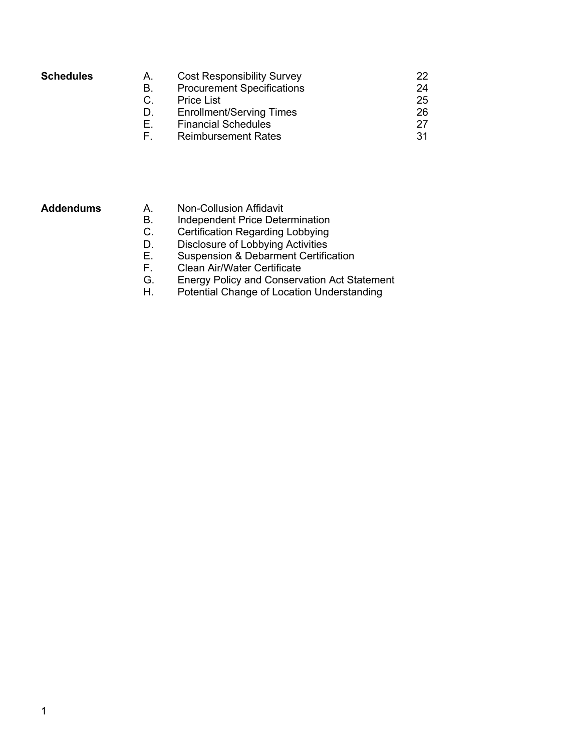#### **Schedules**

| Α. | <b>Cost Responsibility Survey</b> | 22 |
|----|-----------------------------------|----|
| В. | <b>Procurement Specifications</b> | 24 |
| C. | <b>Price List</b>                 | 25 |
| D. | <b>Enrollment/Serving Times</b>   | 26 |
| Е. | <b>Financial Schedules</b>        | 27 |
| F. | <b>Reimbursement Rates</b>        | 31 |

- **Addendums** A. Non-Collusion Affidavit
	- B. Independent Price Determination
	- C. Certification Regarding Lobbying
	- D. Disclosure of Lobbying Activities
	- E. Suspension & Debarment Certification
	- F. Clean Air/Water Certificate<br>G. Energy Policy and Conserva
	- G. Energy Policy and Conservation Act Statement
	- H. Potential Change of Location Understanding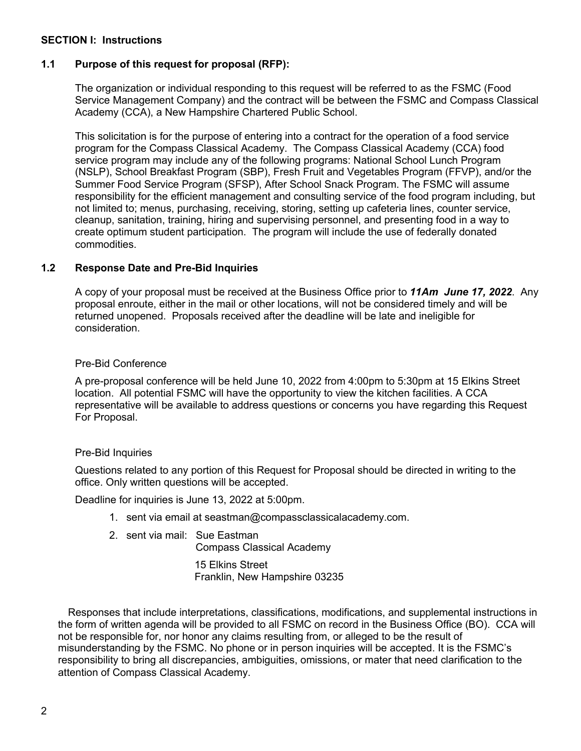#### **SECTION I: Instructions**

#### **1.1 Purpose of this request for proposal (RFP):**

The organization or individual responding to this request will be referred to as the FSMC (Food Service Management Company) and the contract will be between the FSMC and Compass Classical Academy (CCA), a New Hampshire Chartered Public School.

This solicitation is for the purpose of entering into a contract for the operation of a food service program for the Compass Classical Academy. The Compass Classical Academy (CCA) food service program may include any of the following programs: National School Lunch Program (NSLP), School Breakfast Program (SBP), Fresh Fruit and Vegetables Program (FFVP), and/or the Summer Food Service Program (SFSP), After School Snack Program. The FSMC will assume responsibility for the efficient management and consulting service of the food program including, but not limited to; menus, purchasing, receiving, storing, setting up cafeteria lines, counter service, cleanup, sanitation, training, hiring and supervising personnel, and presenting food in a way to create optimum student participation. The program will include the use of federally donated commodities.

#### **1.2 Response Date and Pre-Bid Inquiries**

A copy of your proposal must be received at the Business Office prior to *11Am June 17, 2022*. Any proposal enroute, either in the mail or other locations, will not be considered timely and will be returned unopened. Proposals received after the deadline will be late and ineligible for consideration.

#### Pre-Bid Conference

A pre-proposal conference will be held June 10, 2022 from 4:00pm to 5:30pm at 15 Elkins Street location. All potential FSMC will have the opportunity to view the kitchen facilities. A CCA representative will be available to address questions or concerns you have regarding this Request For Proposal.

#### Pre-Bid Inquiries

Questions related to any portion of this Request for Proposal should be directed in writing to the office. Only written questions will be accepted.

Deadline for inquiries is June 13, 2022 at 5:00pm.

- 1. sent via email at seastman@compassclassicalacademy.com.
- 2. sent via mail: Sue Eastman

Compass Classical Academy

15 Elkins Street Franklin, New Hampshire 03235

Responses that include interpretations, classifications, modifications, and supplemental instructions in the form of written agenda will be provided to all FSMC on record in the Business Office (BO). CCA will not be responsible for, nor honor any claims resulting from, or alleged to be the result of misunderstanding by the FSMC. No phone or in person inquiries will be accepted. It is the FSMC's responsibility to bring all discrepancies, ambiguities, omissions, or mater that need clarification to the attention of Compass Classical Academy.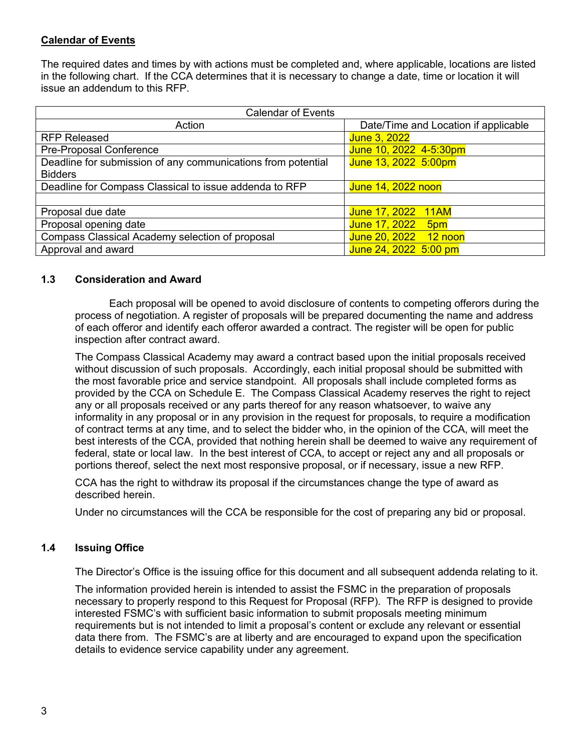#### **Calendar of Events**

The required dates and times by with actions must be completed and, where applicable, locations are listed in the following chart. If the CCA determines that it is necessary to change a date, time or location it will issue an addendum to this RFP.

| <b>Calendar of Events</b>                                    |                                      |
|--------------------------------------------------------------|--------------------------------------|
| Action                                                       | Date/Time and Location if applicable |
| <b>RFP Released</b>                                          | June 3, 2022                         |
| Pre-Proposal Conference                                      | June 10, 2022 4-5:30pm               |
| Deadline for submission of any communications from potential | June 13, 2022 5:00pm                 |
| <b>Bidders</b>                                               |                                      |
| Deadline for Compass Classical to issue addenda to RFP       | June 14, 2022 noon                   |
|                                                              |                                      |
| Proposal due date                                            | June 17, 2022 11AM                   |
| Proposal opening date                                        | June 17, 2022<br>5 <sub>pm</sub>     |
| Compass Classical Academy selection of proposal              | June 20, 2022 12 noon                |
| Approval and award                                           | June 24, 2022 5:00 pm                |

#### **1.3 Consideration and Award**

Each proposal will be opened to avoid disclosure of contents to competing offerors during the process of negotiation. A register of proposals will be prepared documenting the name and address of each offeror and identify each offeror awarded a contract. The register will be open for public inspection after contract award.

The Compass Classical Academy may award a contract based upon the initial proposals received without discussion of such proposals. Accordingly, each initial proposal should be submitted with the most favorable price and service standpoint. All proposals shall include completed forms as provided by the CCA on Schedule E. The Compass Classical Academy reserves the right to reject any or all proposals received or any parts thereof for any reason whatsoever, to waive any informality in any proposal or in any provision in the request for proposals, to require a modification of contract terms at any time, and to select the bidder who, in the opinion of the CCA, will meet the best interests of the CCA, provided that nothing herein shall be deemed to waive any requirement of federal, state or local law. In the best interest of CCA, to accept or reject any and all proposals or portions thereof, select the next most responsive proposal, or if necessary, issue a new RFP.

CCA has the right to withdraw its proposal if the circumstances change the type of award as described herein.

Under no circumstances will the CCA be responsible for the cost of preparing any bid or proposal.

#### **1.4 Issuing Office**

The Director's Office is the issuing office for this document and all subsequent addenda relating to it.

The information provided herein is intended to assist the FSMC in the preparation of proposals necessary to properly respond to this Request for Proposal (RFP). The RFP is designed to provide interested FSMC's with sufficient basic information to submit proposals meeting minimum requirements but is not intended to limit a proposal's content or exclude any relevant or essential data there from. The FSMC's are at liberty and are encouraged to expand upon the specification details to evidence service capability under any agreement.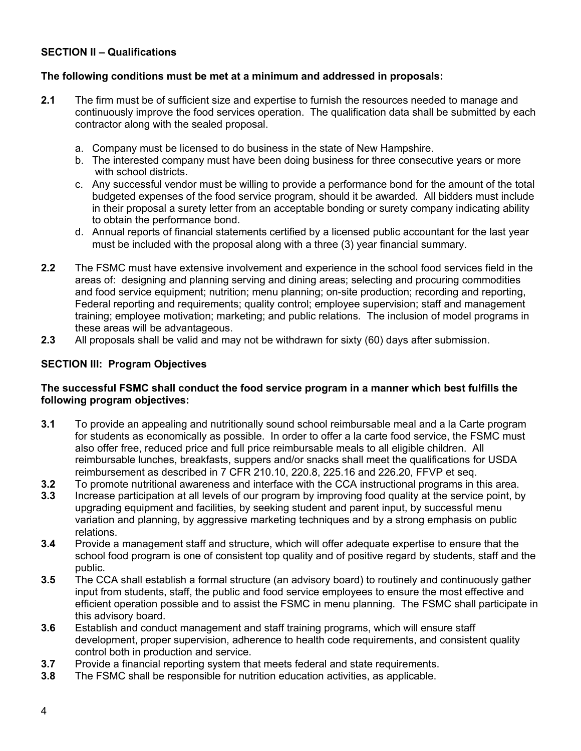#### **SECTION II – Qualifications**

#### **The following conditions must be met at a minimum and addressed in proposals:**

- **2.1** The firm must be of sufficient size and expertise to furnish the resources needed to manage and continuously improve the food services operation. The qualification data shall be submitted by each contractor along with the sealed proposal.
	- a. Company must be licensed to do business in the state of New Hampshire.
	- b. The interested company must have been doing business for three consecutive years or more with school districts.
	- c. Any successful vendor must be willing to provide a performance bond for the amount of the total budgeted expenses of the food service program, should it be awarded. All bidders must include in their proposal a surety letter from an acceptable bonding or surety company indicating ability to obtain the performance bond.
	- d. Annual reports of financial statements certified by a licensed public accountant for the last year must be included with the proposal along with a three (3) year financial summary.
- **2.2** The FSMC must have extensive involvement and experience in the school food services field in the areas of: designing and planning serving and dining areas; selecting and procuring commodities and food service equipment; nutrition; menu planning; on-site production; recording and reporting, Federal reporting and requirements; quality control; employee supervision; staff and management training; employee motivation; marketing; and public relations. The inclusion of model programs in these areas will be advantageous.
- **2.3** All proposals shall be valid and may not be withdrawn for sixty (60) days after submission.

#### **SECTION III: Program Objectives**

#### **The successful FSMC shall conduct the food service program in a manner which best fulfills the following program objectives:**

- **3.1** To provide an appealing and nutritionally sound school reimbursable meal and a la Carte program for students as economically as possible. In order to offer a la carte food service, the FSMC must also offer free, reduced price and full price reimbursable meals to all eligible children. All reimbursable lunches, breakfasts, suppers and/or snacks shall meet the qualifications for USDA reimbursement as described in 7 CFR 210.10, 220.8, 225.16 and 226.20, FFVP et seq.
- **3.2** To promote nutritional awareness and interface with the CCA instructional programs in this area.
- **3.3** Increase participation at all levels of our program by improving food quality at the service point, by upgrading equipment and facilities, by seeking student and parent input, by successful menu variation and planning, by aggressive marketing techniques and by a strong emphasis on public relations.
- **3.4** Provide a management staff and structure, which will offer adequate expertise to ensure that the school food program is one of consistent top quality and of positive regard by students, staff and the public.
- **3.5** The CCA shall establish a formal structure (an advisory board) to routinely and continuously gather input from students, staff, the public and food service employees to ensure the most effective and efficient operation possible and to assist the FSMC in menu planning. The FSMC shall participate in this advisory board.
- **3.6** Establish and conduct management and staff training programs, which will ensure staff development, proper supervision, adherence to health code requirements, and consistent quality control both in production and service.
- **3.7** Provide a financial reporting system that meets federal and state requirements.
- **3.8** The FSMC shall be responsible for nutrition education activities, as applicable.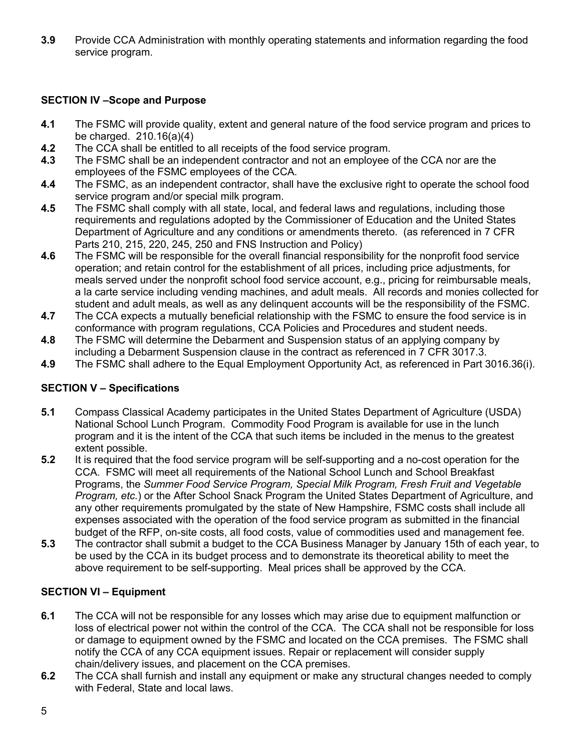**3.9** Provide CCA Administration with monthly operating statements and information regarding the food service program.

#### **SECTION IV –Scope and Purpose**

- **4.1** The FSMC will provide quality, extent and general nature of the food service program and prices to be charged. 210.16(a)(4)
- **4.2** The CCA shall be entitled to all receipts of the food service program.
- **4.3** The FSMC shall be an independent contractor and not an employee of the CCA nor are the employees of the FSMC employees of the CCA.
- **4.4** The FSMC, as an independent contractor, shall have the exclusive right to operate the school food service program and/or special milk program.
- **4.5** The FSMC shall comply with all state, local, and federal laws and regulations, including those requirements and regulations adopted by the Commissioner of Education and the United States Department of Agriculture and any conditions or amendments thereto. (as referenced in 7 CFR Parts 210, 215, 220, 245, 250 and FNS Instruction and Policy)
- **4.6** The FSMC will be responsible for the overall financial responsibility for the nonprofit food service operation; and retain control for the establishment of all prices, including price adjustments, for meals served under the nonprofit school food service account, e.g., pricing for reimbursable meals, a la carte service including vending machines, and adult meals. All records and monies collected for student and adult meals, as well as any delinquent accounts will be the responsibility of the FSMC.
- **4.7** The CCA expects a mutually beneficial relationship with the FSMC to ensure the food service is in conformance with program regulations, CCA Policies and Procedures and student needs.
- **4.8** The FSMC will determine the Debarment and Suspension status of an applying company by including a Debarment Suspension clause in the contract as referenced in 7 CFR 3017.3.
- **4.9** The FSMC shall adhere to the Equal Employment Opportunity Act, as referenced in Part 3016.36(i).

#### **SECTION V – Specifications**

- **5.1** Compass Classical Academy participates in the United States Department of Agriculture (USDA) National School Lunch Program. Commodity Food Program is available for use in the lunch program and it is the intent of the CCA that such items be included in the menus to the greatest extent possible.
- **5.2** It is required that the food service program will be self-supporting and a no-cost operation for the CCA. FSMC will meet all requirements of the National School Lunch and School Breakfast Programs, the *Summer Food Service Program, Special Milk Program, Fresh Fruit and Vegetable Program, etc.*) or the After School Snack Program the United States Department of Agriculture, and any other requirements promulgated by the state of New Hampshire, FSMC costs shall include all expenses associated with the operation of the food service program as submitted in the financial budget of the RFP, on-site costs, all food costs, value of commodities used and management fee.
- **5.3** The contractor shall submit a budget to the CCA Business Manager by January 15th of each year, to be used by the CCA in its budget process and to demonstrate its theoretical ability to meet the above requirement to be self-supporting. Meal prices shall be approved by the CCA.

#### **SECTION VI – Equipment**

- **6.1** The CCA will not be responsible for any losses which may arise due to equipment malfunction or loss of electrical power not within the control of the CCA. The CCA shall not be responsible for loss or damage to equipment owned by the FSMC and located on the CCA premises. The FSMC shall notify the CCA of any CCA equipment issues. Repair or replacement will consider supply chain/delivery issues, and placement on the CCA premises.
- **6.2** The CCA shall furnish and install any equipment or make any structural changes needed to comply with Federal, State and local laws.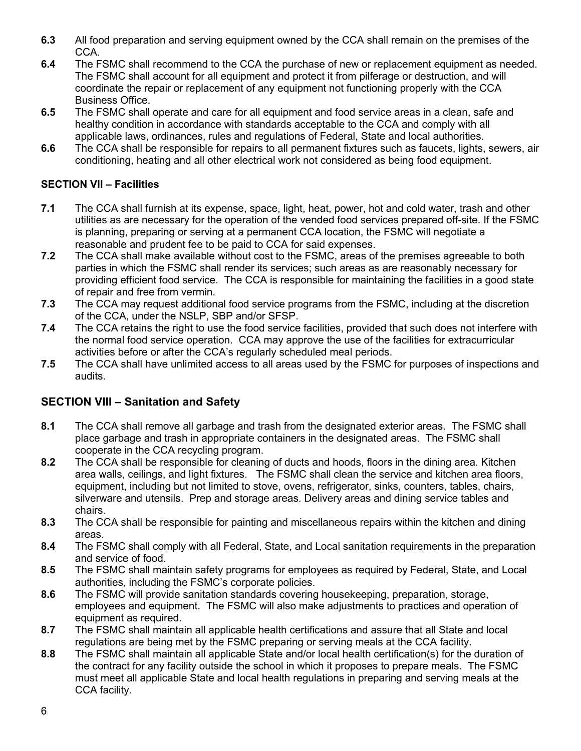- **6.3** All food preparation and serving equipment owned by the CCA shall remain on the premises of the CCA.
- **6.4** The FSMC shall recommend to the CCA the purchase of new or replacement equipment as needed. The FSMC shall account for all equipment and protect it from pilferage or destruction, and will coordinate the repair or replacement of any equipment not functioning properly with the CCA Business Office.
- **6.5** The FSMC shall operate and care for all equipment and food service areas in a clean, safe and healthy condition in accordance with standards acceptable to the CCA and comply with all applicable laws, ordinances, rules and regulations of Federal, State and local authorities.
- **6.6** The CCA shall be responsible for repairs to all permanent fixtures such as faucets, lights, sewers, air conditioning, heating and all other electrical work not considered as being food equipment.

#### **SECTION VII – Facilities**

- **7.1** The CCA shall furnish at its expense, space, light, heat, power, hot and cold water, trash and other utilities as are necessary for the operation of the vended food services prepared off-site. If the FSMC is planning, preparing or serving at a permanent CCA location, the FSMC will negotiate a reasonable and prudent fee to be paid to CCA for said expenses.
- **7.2** The CCA shall make available without cost to the FSMC, areas of the premises agreeable to both parties in which the FSMC shall render its services; such areas as are reasonably necessary for providing efficient food service. The CCA is responsible for maintaining the facilities in a good state of repair and free from vermin.
- **7.3** The CCA may request additional food service programs from the FSMC, including at the discretion of the CCA, under the NSLP, SBP and/or SFSP.
- **7.4** The CCA retains the right to use the food service facilities, provided that such does not interfere with the normal food service operation. CCA may approve the use of the facilities for extracurricular activities before or after the CCA's regularly scheduled meal periods.
- **7.5** The CCA shall have unlimited access to all areas used by the FSMC for purposes of inspections and audits.

#### **SECTION VIII – Sanitation and Safety**

- **8.1** The CCA shall remove all garbage and trash from the designated exterior areas. The FSMC shall place garbage and trash in appropriate containers in the designated areas. The FSMC shall cooperate in the CCA recycling program.
- **8.2** The CCA shall be responsible for cleaning of ducts and hoods, floors in the dining area. Kitchen area walls, ceilings, and light fixtures. The FSMC shall clean the service and kitchen area floors, equipment, including but not limited to stove, ovens, refrigerator, sinks, counters, tables, chairs, silverware and utensils. Prep and storage areas. Delivery areas and dining service tables and chairs.
- **8.3** The CCA shall be responsible for painting and miscellaneous repairs within the kitchen and dining areas.
- **8.4** The FSMC shall comply with all Federal, State, and Local sanitation requirements in the preparation and service of food.
- **8.5** The FSMC shall maintain safety programs for employees as required by Federal, State, and Local authorities, including the FSMC's corporate policies.
- **8.6** The FSMC will provide sanitation standards covering housekeeping, preparation, storage, employees and equipment. The FSMC will also make adjustments to practices and operation of equipment as required.
- **8.7** The FSMC shall maintain all applicable health certifications and assure that all State and local regulations are being met by the FSMC preparing or serving meals at the CCA facility.
- **8.8** The FSMC shall maintain all applicable State and/or local health certification(s) for the duration of the contract for any facility outside the school in which it proposes to prepare meals. The FSMC must meet all applicable State and local health regulations in preparing and serving meals at the CCA facility.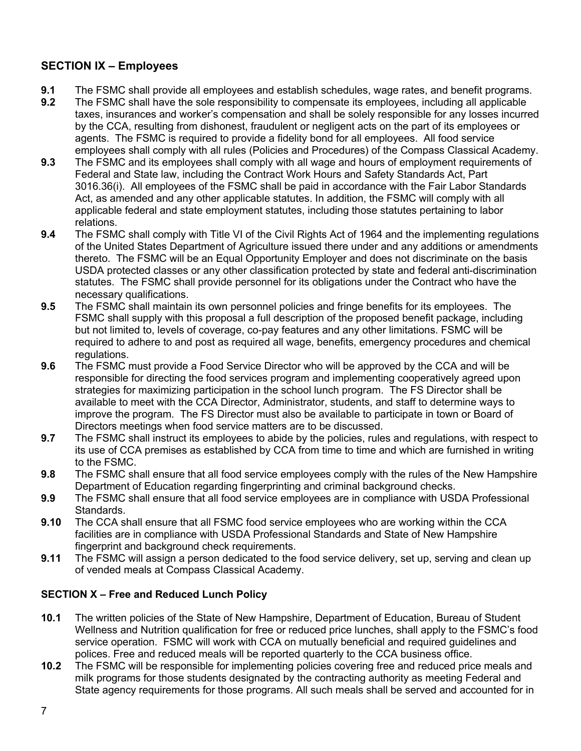#### **SECTION IX – Employees**

- **9.1** The FSMC shall provide all employees and establish schedules, wage rates, and benefit programs.
- **9.2** The FSMC shall have the sole responsibility to compensate its employees, including all applicable taxes, insurances and worker's compensation and shall be solely responsible for any losses incurred by the CCA, resulting from dishonest, fraudulent or negligent acts on the part of its employees or agents. The FSMC is required to provide a fidelity bond for all employees. All food service employees shall comply with all rules (Policies and Procedures) of the Compass Classical Academy.
- **9.3** The FSMC and its employees shall comply with all wage and hours of employment requirements of Federal and State law, including the Contract Work Hours and Safety Standards Act, Part 3016.36(i). All employees of the FSMC shall be paid in accordance with the Fair Labor Standards Act, as amended and any other applicable statutes. In addition, the FSMC will comply with all applicable federal and state employment statutes, including those statutes pertaining to labor relations.
- **9.4** The FSMC shall comply with Title VI of the Civil Rights Act of 1964 and the implementing regulations of the United States Department of Agriculture issued there under and any additions or amendments thereto. The FSMC will be an Equal Opportunity Employer and does not discriminate on the basis USDA protected classes or any other classification protected by state and federal anti-discrimination statutes. The FSMC shall provide personnel for its obligations under the Contract who have the necessary qualifications.
- **9.5** The FSMC shall maintain its own personnel policies and fringe benefits for its employees. The FSMC shall supply with this proposal a full description of the proposed benefit package, including but not limited to, levels of coverage, co-pay features and any other limitations. FSMC will be required to adhere to and post as required all wage, benefits, emergency procedures and chemical regulations.
- **9.6** The FSMC must provide a Food Service Director who will be approved by the CCA and will be responsible for directing the food services program and implementing cooperatively agreed upon strategies for maximizing participation in the school lunch program. The FS Director shall be available to meet with the CCA Director, Administrator, students, and staff to determine ways to improve the program. The FS Director must also be available to participate in town or Board of Directors meetings when food service matters are to be discussed.
- **9.7** The FSMC shall instruct its employees to abide by the policies, rules and regulations, with respect to its use of CCA premises as established by CCA from time to time and which are furnished in writing to the FSMC.
- **9.8** The FSMC shall ensure that all food service employees comply with the rules of the New Hampshire Department of Education regarding fingerprinting and criminal background checks.
- **9.9** The FSMC shall ensure that all food service employees are in compliance with USDA Professional Standards.
- **9.10** The CCA shall ensure that all FSMC food service employees who are working within the CCA facilities are in compliance with USDA Professional Standards and State of New Hampshire fingerprint and background check requirements.
- **9.11** The FSMC will assign a person dedicated to the food service delivery, set up, serving and clean up of vended meals at Compass Classical Academy.

#### **SECTION X – Free and Reduced Lunch Policy**

- **10.1** The written policies of the State of New Hampshire, Department of Education, Bureau of Student Wellness and Nutrition qualification for free or reduced price lunches, shall apply to the FSMC's food service operation. FSMC will work with CCA on mutually beneficial and required guidelines and polices. Free and reduced meals will be reported quarterly to the CCA business office.
- **10.2** The FSMC will be responsible for implementing policies covering free and reduced price meals and milk programs for those students designated by the contracting authority as meeting Federal and State agency requirements for those programs. All such meals shall be served and accounted for in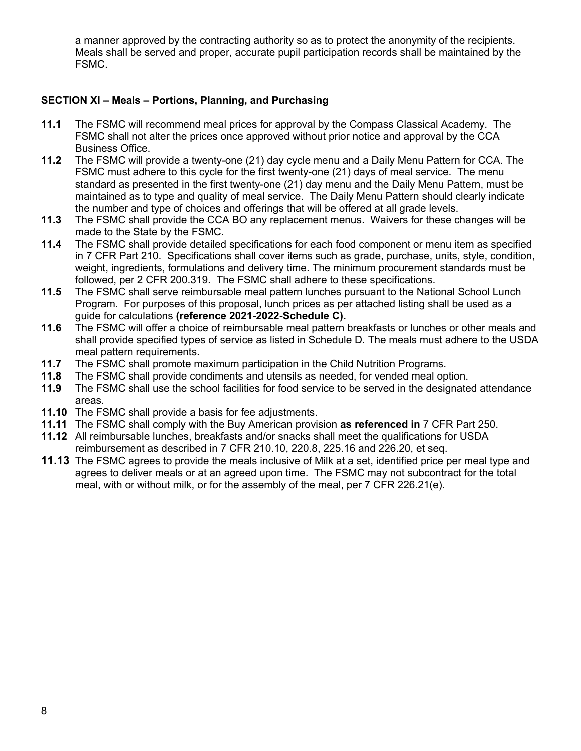a manner approved by the contracting authority so as to protect the anonymity of the recipients. Meals shall be served and proper, accurate pupil participation records shall be maintained by the FSMC.

#### **SECTION XI – Meals – Portions, Planning, and Purchasing**

- **11.1** The FSMC will recommend meal prices for approval by the Compass Classical Academy. The FSMC shall not alter the prices once approved without prior notice and approval by the CCA Business Office.
- **11.2** The FSMC will provide a twenty-one (21) day cycle menu and a Daily Menu Pattern for CCA. The FSMC must adhere to this cycle for the first twenty-one (21) days of meal service. The menu standard as presented in the first twenty-one (21) day menu and the Daily Menu Pattern, must be maintained as to type and quality of meal service. The Daily Menu Pattern should clearly indicate the number and type of choices and offerings that will be offered at all grade levels.
- **11.3** The FSMC shall provide the CCA BO any replacement menus. Waivers for these changes will be made to the State by the FSMC.
- **11.4** The FSMC shall provide detailed specifications for each food component or menu item as specified in 7 CFR Part 210. Specifications shall cover items such as grade, purchase, units, style, condition, weight, ingredients, formulations and delivery time. The minimum procurement standards must be followed, per 2 CFR 200.319. The FSMC shall adhere to these specifications.
- **11.5** The FSMC shall serve reimbursable meal pattern lunches pursuant to the National School Lunch Program. For purposes of this proposal, lunch prices as per attached listing shall be used as a guide for calculations **(reference 2021-2022-Schedule C).**
- **11.6** The FSMC will offer a choice of reimbursable meal pattern breakfasts or lunches or other meals and shall provide specified types of service as listed in Schedule D. The meals must adhere to the USDA meal pattern requirements.
- **11.7** The FSMC shall promote maximum participation in the Child Nutrition Programs.
- **11.8** The FSMC shall provide condiments and utensils as needed, for vended meal option.
- **11.9** The FSMC shall use the school facilities for food service to be served in the designated attendance areas.
- **11.10** The FSMC shall provide a basis for fee adjustments.
- **11.11** The FSMC shall comply with the Buy American provision **as referenced in** 7 CFR Part 250.
- **11.12** All reimbursable lunches, breakfasts and/or snacks shall meet the qualifications for USDA reimbursement as described in 7 CFR 210.10, 220.8, 225.16 and 226.20, et seq.
- **11.13** The FSMC agrees to provide the meals inclusive of Milk at a set, identified price per meal type and agrees to deliver meals or at an agreed upon time. The FSMC may not subcontract for the total meal, with or without milk, or for the assembly of the meal, per 7 CFR 226.21(e).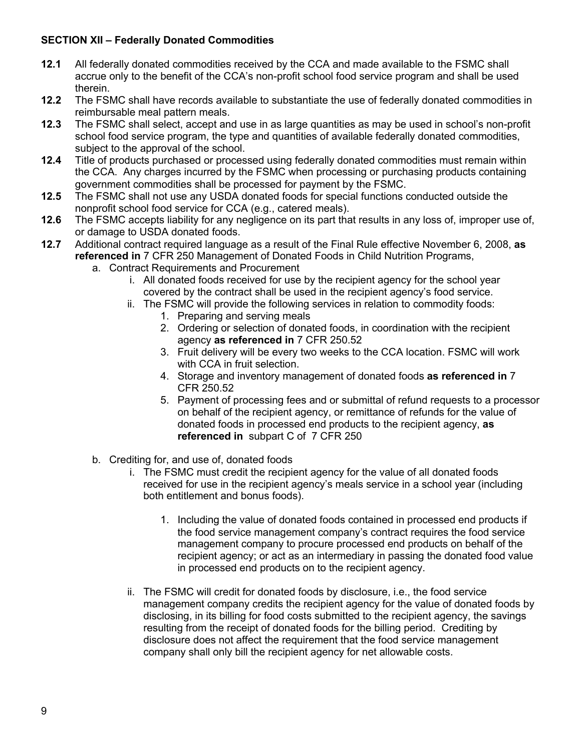#### **SECTION XII – Federally Donated Commodities**

- **12.1** All federally donated commodities received by the CCA and made available to the FSMC shall accrue only to the benefit of the CCA's non-profit school food service program and shall be used therein.
- **12.2** The FSMC shall have records available to substantiate the use of federally donated commodities in reimbursable meal pattern meals.
- **12.3** The FSMC shall select, accept and use in as large quantities as may be used in school's non-profit school food service program, the type and quantities of available federally donated commodities, subject to the approval of the school.
- **12.4** Title of products purchased or processed using federally donated commodities must remain within the CCA. Any charges incurred by the FSMC when processing or purchasing products containing government commodities shall be processed for payment by the FSMC.
- **12.5** The FSMC shall not use any USDA donated foods for special functions conducted outside the nonprofit school food service for CCA (e.g., catered meals).
- **12.6** The FSMC accepts liability for any negligence on its part that results in any loss of, improper use of, or damage to USDA donated foods.
- **12.7** Additional contract required language as a result of the Final Rule effective November 6, 2008, **as referenced in** 7 CFR 250 Management of Donated Foods in Child Nutrition Programs,
	- a. Contract Requirements and Procurement
		- i. All donated foods received for use by the recipient agency for the school year covered by the contract shall be used in the recipient agency's food service.
		- ii. The FSMC will provide the following services in relation to commodity foods:
			- 1. Preparing and serving meals
			- 2. Ordering or selection of donated foods, in coordination with the recipient agency **as referenced in** 7 CFR 250.52
			- 3. Fruit delivery will be every two weeks to the CCA location. FSMC will work with CCA in fruit selection.
			- 4. Storage and inventory management of donated foods **as referenced in** 7 CFR 250.52
			- 5. Payment of processing fees and or submittal of refund requests to a processor on behalf of the recipient agency, or remittance of refunds for the value of donated foods in processed end products to the recipient agency, **as referenced in** subpart C of 7 CFR 250
	- b. Crediting for, and use of, donated foods
		- i. The FSMC must credit the recipient agency for the value of all donated foods received for use in the recipient agency's meals service in a school year (including both entitlement and bonus foods).
			- 1. Including the value of donated foods contained in processed end products if the food service management company's contract requires the food service management company to procure processed end products on behalf of the recipient agency; or act as an intermediary in passing the donated food value in processed end products on to the recipient agency.
		- ii. The FSMC will credit for donated foods by disclosure, i.e., the food service management company credits the recipient agency for the value of donated foods by disclosing, in its billing for food costs submitted to the recipient agency, the savings resulting from the receipt of donated foods for the billing period. Crediting by disclosure does not affect the requirement that the food service management company shall only bill the recipient agency for net allowable costs.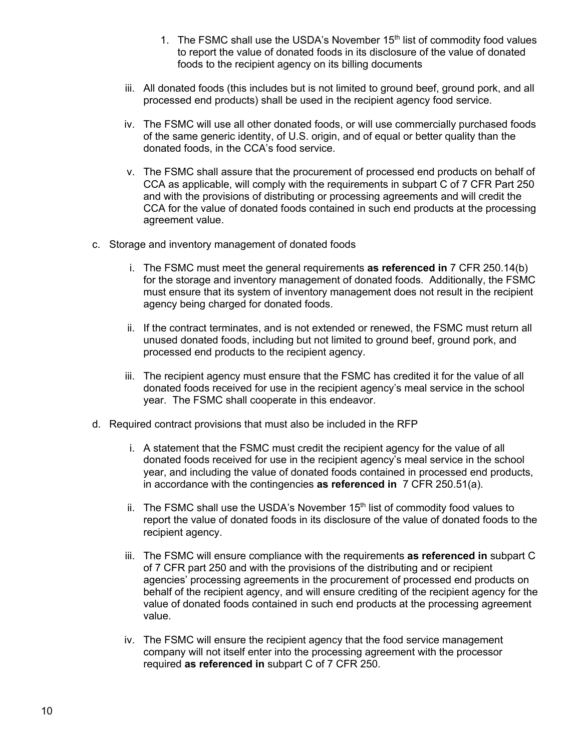- 1. The FSMC shall use the USDA's November  $15<sup>th</sup>$  list of commodity food values to report the value of donated foods in its disclosure of the value of donated foods to the recipient agency on its billing documents
- iii. All donated foods (this includes but is not limited to ground beef, ground pork, and all processed end products) shall be used in the recipient agency food service.
- iv. The FSMC will use all other donated foods, or will use commercially purchased foods of the same generic identity, of U.S. origin, and of equal or better quality than the donated foods, in the CCA's food service.
- v. The FSMC shall assure that the procurement of processed end products on behalf of CCA as applicable, will comply with the requirements in subpart C of 7 CFR Part 250 and with the provisions of distributing or processing agreements and will credit the CCA for the value of donated foods contained in such end products at the processing agreement value.
- c. Storage and inventory management of donated foods
	- i. The FSMC must meet the general requirements **as referenced in** 7 CFR 250.14(b) for the storage and inventory management of donated foods. Additionally, the FSMC must ensure that its system of inventory management does not result in the recipient agency being charged for donated foods.
	- ii. If the contract terminates, and is not extended or renewed, the FSMC must return all unused donated foods, including but not limited to ground beef, ground pork, and processed end products to the recipient agency.
	- iii. The recipient agency must ensure that the FSMC has credited it for the value of all donated foods received for use in the recipient agency's meal service in the school year. The FSMC shall cooperate in this endeavor.
- d. Required contract provisions that must also be included in the RFP
	- i. A statement that the FSMC must credit the recipient agency for the value of all donated foods received for use in the recipient agency's meal service in the school year, and including the value of donated foods contained in processed end products, in accordance with the contingencies **as referenced in** 7 CFR 250.51(a).
	- ii. The FSMC shall use the USDA's November  $15<sup>th</sup>$  list of commodity food values to report the value of donated foods in its disclosure of the value of donated foods to the recipient agency.
	- iii. The FSMC will ensure compliance with the requirements **as referenced in** subpart C of 7 CFR part 250 and with the provisions of the distributing and or recipient agencies' processing agreements in the procurement of processed end products on behalf of the recipient agency, and will ensure crediting of the recipient agency for the value of donated foods contained in such end products at the processing agreement value.
	- iv. The FSMC will ensure the recipient agency that the food service management company will not itself enter into the processing agreement with the processor required **as referenced in** subpart C of 7 CFR 250.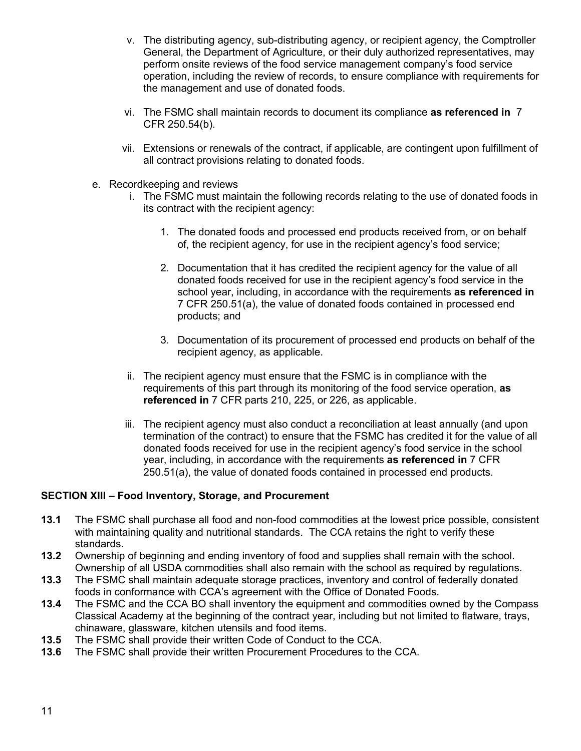- v. The distributing agency, sub-distributing agency, or recipient agency, the Comptroller General, the Department of Agriculture, or their duly authorized representatives, may perform onsite reviews of the food service management company's food service operation, including the review of records, to ensure compliance with requirements for the management and use of donated foods.
- vi. The FSMC shall maintain records to document its compliance **as referenced in** 7 CFR 250.54(b).
- vii. Extensions or renewals of the contract, if applicable, are contingent upon fulfillment of all contract provisions relating to donated foods.
- e. Recordkeeping and reviews
	- i. The FSMC must maintain the following records relating to the use of donated foods in its contract with the recipient agency:
		- 1. The donated foods and processed end products received from, or on behalf of, the recipient agency, for use in the recipient agency's food service;
		- 2. Documentation that it has credited the recipient agency for the value of all donated foods received for use in the recipient agency's food service in the school year, including, in accordance with the requirements **as referenced in**  7 CFR 250.51(a), the value of donated foods contained in processed end products; and
		- 3. Documentation of its procurement of processed end products on behalf of the recipient agency, as applicable.
	- ii. The recipient agency must ensure that the FSMC is in compliance with the requirements of this part through its monitoring of the food service operation, **as referenced in** 7 CFR parts 210, 225, or 226, as applicable.
	- iii. The recipient agency must also conduct a reconciliation at least annually (and upon termination of the contract) to ensure that the FSMC has credited it for the value of all donated foods received for use in the recipient agency's food service in the school year, including, in accordance with the requirements **as referenced in** 7 CFR 250.51(a), the value of donated foods contained in processed end products.

#### **SECTION XIII – Food Inventory, Storage, and Procurement**

- **13.1** The FSMC shall purchase all food and non-food commodities at the lowest price possible, consistent with maintaining quality and nutritional standards. The CCA retains the right to verify these standards.
- **13.2** Ownership of beginning and ending inventory of food and supplies shall remain with the school. Ownership of all USDA commodities shall also remain with the school as required by regulations.
- **13.3** The FSMC shall maintain adequate storage practices, inventory and control of federally donated foods in conformance with CCA's agreement with the Office of Donated Foods.
- **13.4** The FSMC and the CCA BO shall inventory the equipment and commodities owned by the Compass Classical Academy at the beginning of the contract year, including but not limited to flatware, trays, chinaware, glassware, kitchen utensils and food items.
- **13.5** The FSMC shall provide their written Code of Conduct to the CCA.
- **13.6** The FSMC shall provide their written Procurement Procedures to the CCA.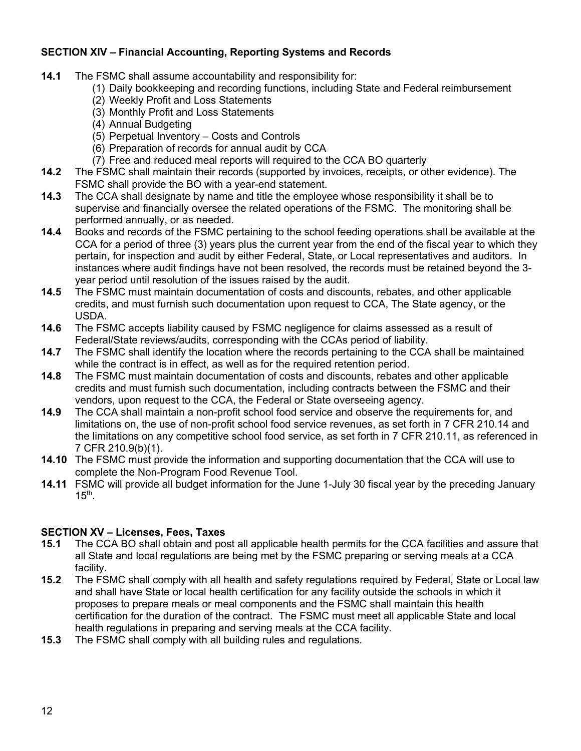#### **SECTION XIV – Financial Accounting, Reporting Systems and Records**

- **14.1** The FSMC shall assume accountability and responsibility for:
	- (1) Daily bookkeeping and recording functions, including State and Federal reimbursement
	- (2) Weekly Profit and Loss Statements
	- (3) Monthly Profit and Loss Statements
	- (4) Annual Budgeting
	- (5) Perpetual Inventory Costs and Controls
	- (6) Preparation of records for annual audit by CCA
	- (7) Free and reduced meal reports will required to the CCA BO quarterly
- **14.2** The FSMC shall maintain their records (supported by invoices, receipts, or other evidence). The FSMC shall provide the BO with a year-end statement.
- **14.3** The CCA shall designate by name and title the employee whose responsibility it shall be to supervise and financially oversee the related operations of the FSMC. The monitoring shall be performed annually, or as needed.
- **14.4** Books and records of the FSMC pertaining to the school feeding operations shall be available at the CCA for a period of three (3) years plus the current year from the end of the fiscal year to which they pertain, for inspection and audit by either Federal, State, or Local representatives and auditors. In instances where audit findings have not been resolved, the records must be retained beyond the 3 year period until resolution of the issues raised by the audit.
- **14.5** The FSMC must maintain documentation of costs and discounts, rebates, and other applicable credits, and must furnish such documentation upon request to CCA, The State agency, or the USDA.
- **14.6** The FSMC accepts liability caused by FSMC negligence for claims assessed as a result of Federal/State reviews/audits, corresponding with the CCAs period of liability.
- **14.7** The FSMC shall identify the location where the records pertaining to the CCA shall be maintained while the contract is in effect, as well as for the required retention period.
- **14.8** The FSMC must maintain documentation of costs and discounts, rebates and other applicable credits and must furnish such documentation, including contracts between the FSMC and their vendors, upon request to the CCA, the Federal or State overseeing agency.
- **14.9** The CCA shall maintain a non-profit school food service and observe the requirements for, and limitations on, the use of non-profit school food service revenues, as set forth in 7 CFR 210.14 and the limitations on any competitive school food service, as set forth in 7 CFR 210.11, as referenced in 7 CFR 210.9(b)(1).
- **14.10** The FSMC must provide the information and supporting documentation that the CCA will use to complete the Non-Program Food Revenue Tool.
- **14.11** FSMC will provide all budget information for the June 1-July 30 fiscal year by the preceding January  $15<sup>th</sup>$ .

#### **SECTION XV – Licenses, Fees, Taxes**

- **15.1** The CCA BO shall obtain and post all applicable health permits for the CCA facilities and assure that all State and local regulations are being met by the FSMC preparing or serving meals at a CCA facility.
- **15.2** The FSMC shall comply with all health and safety regulations required by Federal, State or Local law and shall have State or local health certification for any facility outside the schools in which it proposes to prepare meals or meal components and the FSMC shall maintain this health certification for the duration of the contract. The FSMC must meet all applicable State and local health regulations in preparing and serving meals at the CCA facility.
- **15.3** The FSMC shall comply with all building rules and regulations.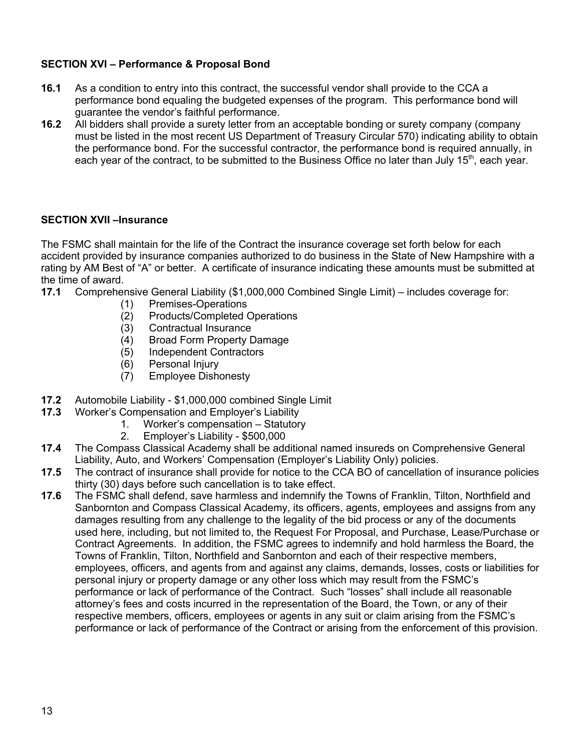#### **SECTION XVI – Performance & Proposal Bond**

- **16.1** As a condition to entry into this contract, the successful vendor shall provide to the CCA a performance bond equaling the budgeted expenses of the program. This performance bond will guarantee the vendor's faithful performance.
- **16.2** All bidders shall provide a surety letter from an acceptable bonding or surety company (company must be listed in the most recent US Department of Treasury Circular 570) indicating ability to obtain the performance bond. For the successful contractor, the performance bond is required annually, in each year of the contract, to be submitted to the Business Office no later than July  $15<sup>th</sup>$ , each year.

#### **SECTION XVII –Insurance**

The FSMC shall maintain for the life of the Contract the insurance coverage set forth below for each accident provided by insurance companies authorized to do business in the State of New Hampshire with a rating by AM Best of "A" or better. A certificate of insurance indicating these amounts must be submitted at the time of award.

- **17.1** Comprehensive General Liability (\$1,000,000 Combined Single Limit) includes coverage for:
	- (1) Premises-Operations
	- (2) Products/Completed Operations
	- (3) Contractual Insurance
	- (4) Broad Form Property Damage
	- (5) Independent Contractors
	- (6) Personal Injury
	- (7) Employee Dishonesty
- **17.2** Automobile Liability \$1,000,000 combined Single Limit
- **17.3** Worker's Compensation and Employer's Liability
	- 1. Worker's compensation Statutory
	- 2. Employer's Liability \$500,000
- **17.4** The Compass Classical Academy shall be additional named insureds on Comprehensive General Liability, Auto, and Workers' Compensation (Employer's Liability Only) policies.
- **17.5** The contract of insurance shall provide for notice to the CCA BO of cancellation of insurance policies thirty (30) days before such cancellation is to take effect.
- **17.6** The FSMC shall defend, save harmless and indemnify the Towns of Franklin, Tilton, Northfield and Sanbornton and Compass Classical Academy, its officers, agents, employees and assigns from any damages resulting from any challenge to the legality of the bid process or any of the documents used here, including, but not limited to, the Request For Proposal, and Purchase, Lease/Purchase or Contract Agreements. In addition, the FSMC agrees to indemnify and hold harmless the Board, the Towns of Franklin, Tilton, Northfield and Sanbornton and each of their respective members, employees, officers, and agents from and against any claims, demands, losses, costs or liabilities for personal injury or property damage or any other loss which may result from the FSMC's performance or lack of performance of the Contract. Such "losses" shall include all reasonable attorney's fees and costs incurred in the representation of the Board, the Town, or any of their respective members, officers, employees or agents in any suit or claim arising from the FSMC's performance or lack of performance of the Contract or arising from the enforcement of this provision.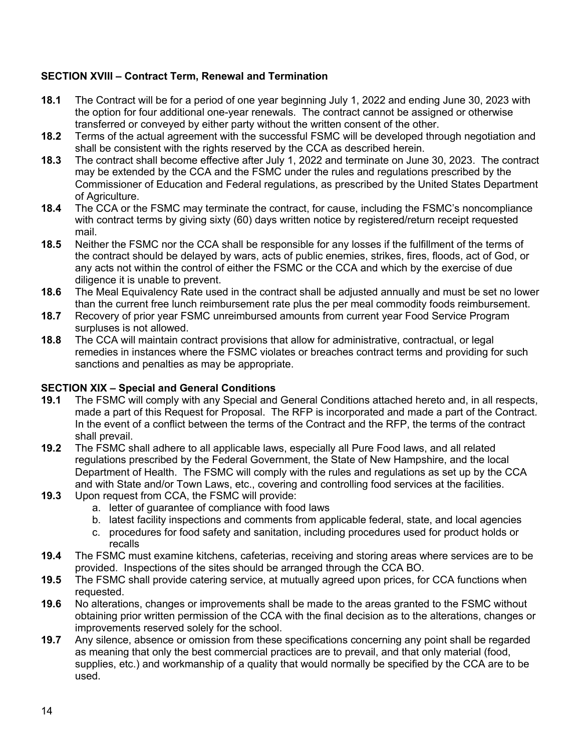#### **SECTION XVIII – Contract Term, Renewal and Termination**

- **18.1** The Contract will be for a period of one year beginning July 1, 2022 and ending June 30, 2023 with the option for four additional one-year renewals. The contract cannot be assigned or otherwise transferred or conveyed by either party without the written consent of the other.
- **18.2** Terms of the actual agreement with the successful FSMC will be developed through negotiation and shall be consistent with the rights reserved by the CCA as described herein.
- **18.3** The contract shall become effective after July 1, 2022 and terminate on June 30, 2023. The contract may be extended by the CCA and the FSMC under the rules and regulations prescribed by the Commissioner of Education and Federal regulations, as prescribed by the United States Department of Agriculture.
- **18.4** The CCA or the FSMC may terminate the contract, for cause, including the FSMC's noncompliance with contract terms by giving sixty (60) days written notice by registered/return receipt requested mail.
- **18.5** Neither the FSMC nor the CCA shall be responsible for any losses if the fulfillment of the terms of the contract should be delayed by wars, acts of public enemies, strikes, fires, floods, act of God, or any acts not within the control of either the FSMC or the CCA and which by the exercise of due diligence it is unable to prevent.
- **18.6** The Meal Equivalency Rate used in the contract shall be adjusted annually and must be set no lower than the current free lunch reimbursement rate plus the per meal commodity foods reimbursement.
- **18.7** Recovery of prior year FSMC unreimbursed amounts from current year Food Service Program surpluses is not allowed.
- **18.8** The CCA will maintain contract provisions that allow for administrative, contractual, or legal remedies in instances where the FSMC violates or breaches contract terms and providing for such sanctions and penalties as may be appropriate.

#### **SECTION XIX – Special and General Conditions**

- **19.1** The FSMC will comply with any Special and General Conditions attached hereto and, in all respects, made a part of this Request for Proposal. The RFP is incorporated and made a part of the Contract. In the event of a conflict between the terms of the Contract and the RFP, the terms of the contract shall prevail.
- **19.2** The FSMC shall adhere to all applicable laws, especially all Pure Food laws, and all related regulations prescribed by the Federal Government, the State of New Hampshire, and the local Department of Health. The FSMC will comply with the rules and regulations as set up by the CCA and with State and/or Town Laws, etc., covering and controlling food services at the facilities.
- **19.3** Upon request from CCA, the FSMC will provide:
	- a. letter of guarantee of compliance with food laws
	- b. latest facility inspections and comments from applicable federal, state, and local agencies
	- c. procedures for food safety and sanitation, including procedures used for product holds or recalls
- **19.4** The FSMC must examine kitchens, cafeterias, receiving and storing areas where services are to be provided. Inspections of the sites should be arranged through the CCA BO.
- **19.5** The FSMC shall provide catering service, at mutually agreed upon prices, for CCA functions when requested.
- **19.6** No alterations, changes or improvements shall be made to the areas granted to the FSMC without obtaining prior written permission of the CCA with the final decision as to the alterations, changes or improvements reserved solely for the school.
- **19.7** Any silence, absence or omission from these specifications concerning any point shall be regarded as meaning that only the best commercial practices are to prevail, and that only material (food, supplies, etc.) and workmanship of a quality that would normally be specified by the CCA are to be used.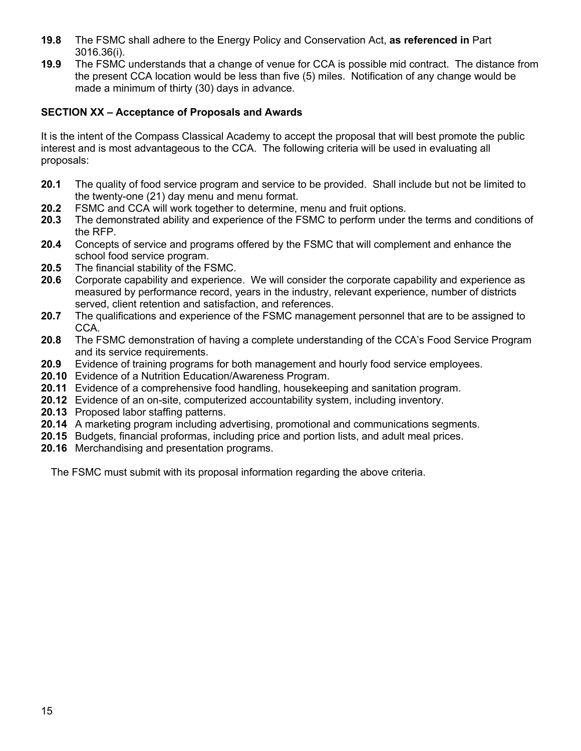- **19.8** The FSMC shall adhere to the Energy Policy and Conservation Act, **as referenced in** Part 3016.36(i).
- **19.9** The FSMC understands that a change of venue for CCA is possible mid contract. The distance from the present CCA location would be less than five (5) miles. Notification of any change would be made a minimum of thirty (30) days in advance.

#### **SECTION XX – Acceptance of Proposals and Awards**

It is the intent of the Compass Classical Academy to accept the proposal that will best promote the public interest and is most advantageous to the CCA. The following criteria will be used in evaluating all proposals:

- **20.1** The quality of food service program and service to be provided. Shall include but not be limited to the twenty-one (21) day menu and menu format.
- **20.2** FSMC and CCA will work together to determine, menu and fruit options.
- **20.3** The demonstrated ability and experience of the FSMC to perform under the terms and conditions of the RFP.
- **20.4** Concepts of service and programs offered by the FSMC that will complement and enhance the school food service program.
- **20.5** The financial stability of the FSMC.
- **20.6** Corporate capability and experience. We will consider the corporate capability and experience as measured by performance record, years in the industry, relevant experience, number of districts served, client retention and satisfaction, and references.
- **20.7** The qualifications and experience of the FSMC management personnel that are to be assigned to CCA.
- **20.8** The FSMC demonstration of having a complete understanding of the CCA's Food Service Program and its service requirements.
- **20.9** Evidence of training programs for both management and hourly food service employees.
- **20.10** Evidence of a Nutrition Education/Awareness Program.
- **20.11** Evidence of a comprehensive food handling, housekeeping and sanitation program.
- **20.12** Evidence of an on-site, computerized accountability system, including inventory.
- **20.13** Proposed labor staffing patterns.
- **20.14** A marketing program including advertising, promotional and communications segments.
- **20.15** Budgets, financial proformas, including price and portion lists, and adult meal prices.
- **20.16** Merchandising and presentation programs.

The FSMC must submit with its proposal information regarding the above criteria.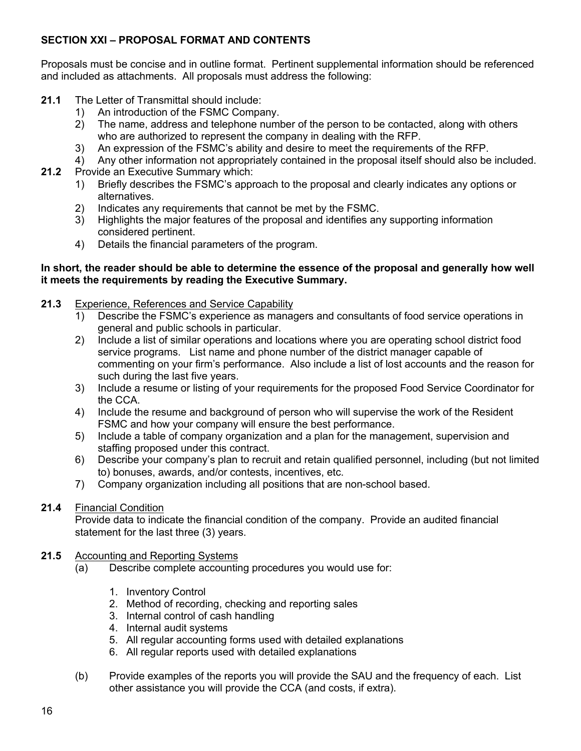#### **SECTION XXI – PROPOSAL FORMAT AND CONTENTS**

Proposals must be concise and in outline format. Pertinent supplemental information should be referenced and included as attachments. All proposals must address the following:

- **21.1** The Letter of Transmittal should include:
	- 1) An introduction of the FSMC Company.
	- 2) The name, address and telephone number of the person to be contacted, along with others who are authorized to represent the company in dealing with the RFP.
	- 3) An expression of the FSMC's ability and desire to meet the requirements of the RFP.
	- 4) Any other information not appropriately contained in the proposal itself should also be included.
- **21.2** Provide an Executive Summary which:
	- 1) Briefly describes the FSMC's approach to the proposal and clearly indicates any options or alternatives.
	- 2) Indicates any requirements that cannot be met by the FSMC.
	- 3) Highlights the major features of the proposal and identifies any supporting information considered pertinent.
	- 4) Details the financial parameters of the program.

#### **In short, the reader should be able to determine the essence of the proposal and generally how well it meets the requirements by reading the Executive Summary.**

- **21.3** Experience, References and Service Capability
	- 1) Describe the FSMC's experience as managers and consultants of food service operations in general and public schools in particular.
	- 2) Include a list of similar operations and locations where you are operating school district food service programs. List name and phone number of the district manager capable of commenting on your firm's performance. Also include a list of lost accounts and the reason for such during the last five years.
	- 3) Include a resume or listing of your requirements for the proposed Food Service Coordinator for the CCA.
	- 4) Include the resume and background of person who will supervise the work of the Resident FSMC and how your company will ensure the best performance.
	- 5) Include a table of company organization and a plan for the management, supervision and staffing proposed under this contract.
	- 6) Describe your company's plan to recruit and retain qualified personnel, including (but not limited to) bonuses, awards, and/or contests, incentives, etc.
	- 7) Company organization including all positions that are non-school based.

#### **21.4** Financial Condition

Provide data to indicate the financial condition of the company. Provide an audited financial statement for the last three (3) years.

#### **21.5** Accounting and Reporting Systems

- (a) Describe complete accounting procedures you would use for:
	- 1. Inventory Control
	- 2. Method of recording, checking and reporting sales
	- 3. Internal control of cash handling
	- 4. Internal audit systems
	- 5. All regular accounting forms used with detailed explanations
	- 6. All regular reports used with detailed explanations
- (b) Provide examples of the reports you will provide the SAU and the frequency of each. List other assistance you will provide the CCA (and costs, if extra).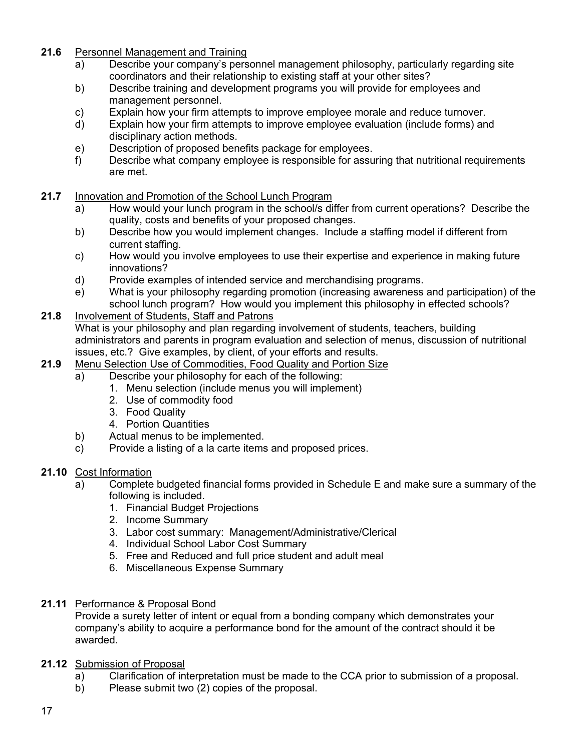#### **21.6** Personnel Management and Training

- a) Describe your company's personnel management philosophy, particularly regarding site coordinators and their relationship to existing staff at your other sites?
- b) Describe training and development programs you will provide for employees and management personnel.
- c) Explain how your firm attempts to improve employee morale and reduce turnover.
- d) Explain how your firm attempts to improve employee evaluation (include forms) and disciplinary action methods.
- e) Description of proposed benefits package for employees.
- f) Describe what company employee is responsible for assuring that nutritional requirements are met.
- **21.7** Innovation and Promotion of the School Lunch Program
	- a) How would your lunch program in the school/s differ from current operations? Describe the quality, costs and benefits of your proposed changes.
	- b) Describe how you would implement changes. Include a staffing model if different from current staffing.
	- c) How would you involve employees to use their expertise and experience in making future innovations?
	- d) Provide examples of intended service and merchandising programs.
	- e) What is your philosophy regarding promotion (increasing awareness and participation) of the school lunch program? How would you implement this philosophy in effected schools?

#### **21.8** Involvement of Students, Staff and Patrons

What is your philosophy and plan regarding involvement of students, teachers, building administrators and parents in program evaluation and selection of menus, discussion of nutritional issues, etc.? Give examples, by client, of your efforts and results.

- **21.9** Menu Selection Use of Commodities, Food Quality and Portion Size
	- a) Describe your philosophy for each of the following:
		- 1. Menu selection (include menus you will implement)
		- 2. Use of commodity food
		- 3. Food Quality
		- 4. Portion Quantities
	- b) Actual menus to be implemented.
	- c) Provide a listing of a la carte items and proposed prices.

#### **21.10** Cost Information

- a) Complete budgeted financial forms provided in Schedule E and make sure a summary of the following is included.
	- 1. Financial Budget Projections
	- 2. Income Summary
	- 3. Labor cost summary: Management/Administrative/Clerical
	- 4. Individual School Labor Cost Summary
	- 5. Free and Reduced and full price student and adult meal
	- 6. Miscellaneous Expense Summary

#### **21.11** Performance & Proposal Bond

Provide a surety letter of intent or equal from a bonding company which demonstrates your company's ability to acquire a performance bond for the amount of the contract should it be awarded.

#### **21.12** Submission of Proposal

- a) Clarification of interpretation must be made to the CCA prior to submission of a proposal.
- b) Please submit two (2) copies of the proposal.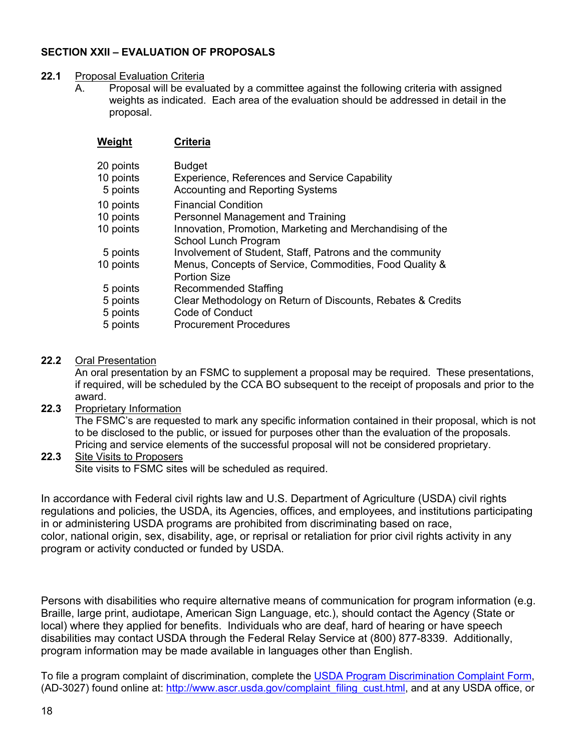#### **SECTION XXII – EVALUATION OF PROPOSALS**

**Criteria**

#### **22.1** Proposal Evaluation Criteria

**Weight**

A. Proposal will be evaluated by a committee against the following criteria with assigned weights as indicated. Each area of the evaluation should be addressed in detail in the proposal.

| 20 points<br>10 points<br>5 points | <b>Budget</b><br>Experience, References and Service Capability<br><b>Accounting and Reporting Systems</b>       |
|------------------------------------|-----------------------------------------------------------------------------------------------------------------|
| 10 points                          | <b>Financial Condition</b>                                                                                      |
| 10 points                          | Personnel Management and Training                                                                               |
| 10 points                          | Innovation, Promotion, Marketing and Merchandising of the<br>School Lunch Program                               |
| 5 points                           | Involvement of Student, Staff, Patrons and the community                                                        |
| 10 points                          | Menus, Concepts of Service, Commodities, Food Quality &<br><b>Portion Size</b>                                  |
| 5 points                           | <b>Recommended Staffing</b>                                                                                     |
| 5 points<br>5 points<br>5 points   | Clear Methodology on Return of Discounts, Rebates & Credits<br>Code of Conduct<br><b>Procurement Procedures</b> |
|                                    |                                                                                                                 |

#### **22.2** Oral Presentation

An oral presentation by an FSMC to supplement a proposal may be required. These presentations, if required, will be scheduled by the CCA BO subsequent to the receipt of proposals and prior to the award.

**22.3** Proprietary Information

The FSMC's are requested to mark any specific information contained in their proposal, which is not to be disclosed to the public, or issued for purposes other than the evaluation of the proposals. Pricing and service elements of the successful proposal will not be considered proprietary.

**22.3** Site Visits to Proposers Site visits to FSMC sites will be scheduled as required.

In accordance with Federal civil rights law and U.S. Department of Agriculture (USDA) civil rights regulations and policies, the USDA, its Agencies, offices, and employees, and institutions participating in or administering USDA programs are prohibited from discriminating based on race, color, national origin, sex, disability, age, or reprisal or retaliation for prior civil rights activity in any program or activity conducted or funded by USDA.

Persons with disabilities who require alternative means of communication for program information (e.g. Braille, large print, audiotape, American Sign Language, etc.), should contact the Agency (State or local) where they applied for benefits. Individuals who are deaf, hard of hearing or have speech disabilities may contact USDA through the Federal Relay Service at (800) 877-8339. Additionally, program information may be made available in languages other than English.

To file a program complaint of discrimination, complete the USDA Program Discrimination Complaint Form, (AD-3027) found online at: http://www.ascr.usda.gov/complaint\_filing\_cust.html, and at any USDA office, or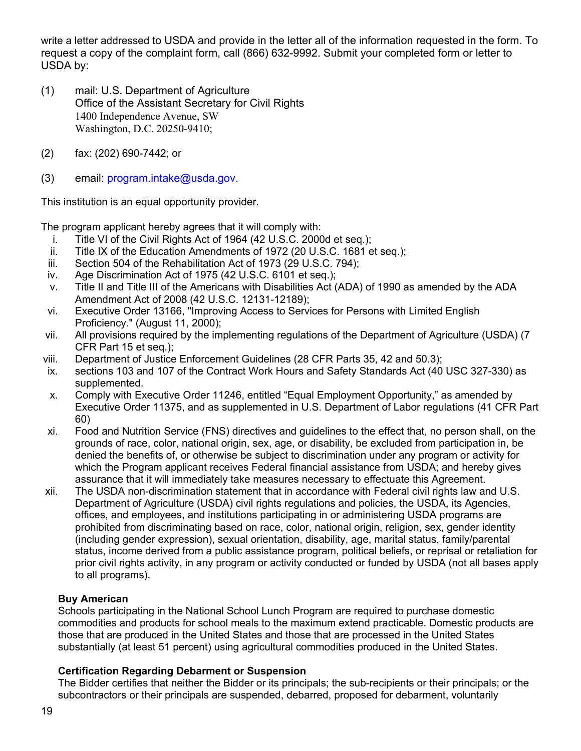write a letter addressed to USDA and provide in the letter all of the information requested in the form. To request a copy of the complaint form, call (866) 632-9992. Submit your completed form or letter to USDA by:

- (1) mail: U.S. Department of Agriculture Office of the Assistant Secretary for Civil Rights 1400 Independence Avenue, SW Washington, D.C. 20250-9410;
- (2) fax: (202) 690-7442; or
- (3) email: program.intake@usda.gov.

This institution is an equal opportunity provider.

The program applicant hereby agrees that it will comply with:

- i. Title VI of the Civil Rights Act of 1964 (42 U.S.C. 2000d et seq.);
- ii. Title IX of the Education Amendments of 1972 (20 U.S.C. 1681 et seq.);
- iii. Section 504 of the Rehabilitation Act of 1973 (29 U.S.C. 794);
- iv. Age Discrimination Act of 1975 (42 U.S.C. 6101 et seq.);
- v. Title II and Title III of the Americans with Disabilities Act (ADA) of 1990 as amended by the ADA Amendment Act of 2008 (42 U.S.C. 12131-12189);
- vi. Executive Order 13166, "Improving Access to Services for Persons with Limited English Proficiency." (August 11, 2000);
- vii. All provisions required by the implementing regulations of the Department of Agriculture (USDA) (7 CFR Part 15 et seq.);
- viii. Department of Justice Enforcement Guidelines (28 CFR Parts 35, 42 and 50.3);
- ix. sections 103 and 107 of the Contract Work Hours and Safety Standards Act (40 USC 327-330) as supplemented.
- x. Comply with Executive Order 11246, entitled "Equal Employment Opportunity," as amended by Executive Order 11375, and as supplemented in U.S. Department of Labor regulations (41 CFR Part 60)
- xi. Food and Nutrition Service (FNS) directives and guidelines to the effect that, no person shall, on the grounds of race, color, national origin, sex, age, or disability, be excluded from participation in, be denied the benefits of, or otherwise be subject to discrimination under any program or activity for which the Program applicant receives Federal financial assistance from USDA; and hereby gives assurance that it will immediately take measures necessary to effectuate this Agreement.
- xii. The USDA non-discrimination statement that in accordance with Federal civil rights law and U.S. Department of Agriculture (USDA) civil rights regulations and policies, the USDA, its Agencies, offices, and employees, and institutions participating in or administering USDA programs are prohibited from discriminating based on race, color, national origin, religion, sex, gender identity (including gender expression), sexual orientation, disability, age, marital status, family/parental status, income derived from a public assistance program, political beliefs, or reprisal or retaliation for prior civil rights activity, in any program or activity conducted or funded by USDA (not all bases apply to all programs).

#### **Buy American**

Schools participating in the National School Lunch Program are required to purchase domestic commodities and products for school meals to the maximum extend practicable. Domestic products are those that are produced in the United States and those that are processed in the United States substantially (at least 51 percent) using agricultural commodities produced in the United States.

#### **Certification Regarding Debarment or Suspension**

The Bidder certifies that neither the Bidder or its principals; the sub-recipients or their principals; or the subcontractors or their principals are suspended, debarred, proposed for debarment, voluntarily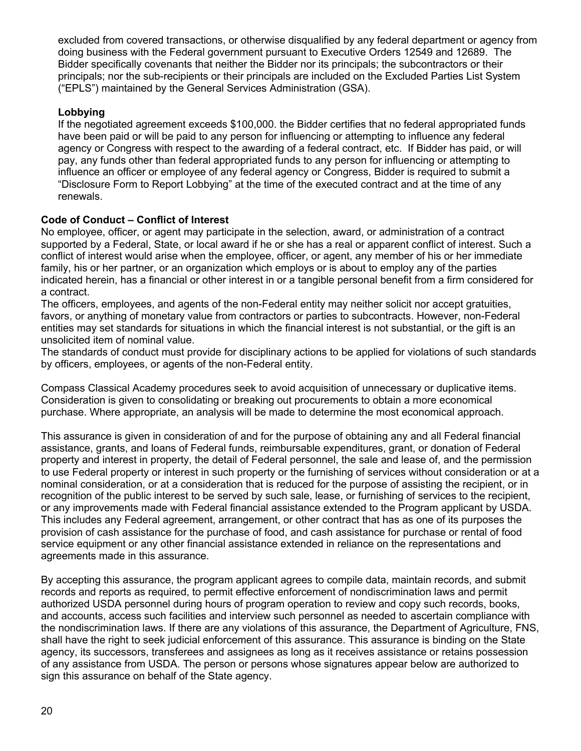excluded from covered transactions, or otherwise disqualified by any federal department or agency from doing business with the Federal government pursuant to Executive Orders 12549 and 12689. The Bidder specifically covenants that neither the Bidder nor its principals; the subcontractors or their principals; nor the sub-recipients or their principals are included on the Excluded Parties List System ("EPLS") maintained by the General Services Administration (GSA).

#### **Lobbying**

If the negotiated agreement exceeds \$100,000. the Bidder certifies that no federal appropriated funds have been paid or will be paid to any person for influencing or attempting to influence any federal agency or Congress with respect to the awarding of a federal contract, etc. If Bidder has paid, or will pay, any funds other than federal appropriated funds to any person for influencing or attempting to influence an officer or employee of any federal agency or Congress, Bidder is required to submit a "Disclosure Form to Report Lobbying" at the time of the executed contract and at the time of any renewals.

#### **Code of Conduct – Conflict of Interest**

No employee, officer, or agent may participate in the selection, award, or administration of a contract supported by a Federal, State, or local award if he or she has a real or apparent conflict of interest. Such a conflict of interest would arise when the employee, officer, or agent, any member of his or her immediate family, his or her partner, or an organization which employs or is about to employ any of the parties indicated herein, has a financial or other interest in or a tangible personal benefit from a firm considered for a contract.

The officers, employees, and agents of the non-Federal entity may neither solicit nor accept gratuities, favors, or anything of monetary value from contractors or parties to subcontracts. However, non-Federal entities may set standards for situations in which the financial interest is not substantial, or the gift is an unsolicited item of nominal value.

The standards of conduct must provide for disciplinary actions to be applied for violations of such standards by officers, employees, or agents of the non-Federal entity.

Compass Classical Academy procedures seek to avoid acquisition of unnecessary or duplicative items. Consideration is given to consolidating or breaking out procurements to obtain a more economical purchase. Where appropriate, an analysis will be made to determine the most economical approach.

This assurance is given in consideration of and for the purpose of obtaining any and all Federal financial assistance, grants, and loans of Federal funds, reimbursable expenditures, grant, or donation of Federal property and interest in property, the detail of Federal personnel, the sale and lease of, and the permission to use Federal property or interest in such property or the furnishing of services without consideration or at a nominal consideration, or at a consideration that is reduced for the purpose of assisting the recipient, or in recognition of the public interest to be served by such sale, lease, or furnishing of services to the recipient, or any improvements made with Federal financial assistance extended to the Program applicant by USDA. This includes any Federal agreement, arrangement, or other contract that has as one of its purposes the provision of cash assistance for the purchase of food, and cash assistance for purchase or rental of food service equipment or any other financial assistance extended in reliance on the representations and agreements made in this assurance.

By accepting this assurance, the program applicant agrees to compile data, maintain records, and submit records and reports as required, to permit effective enforcement of nondiscrimination laws and permit authorized USDA personnel during hours of program operation to review and copy such records, books, and accounts, access such facilities and interview such personnel as needed to ascertain compliance with the nondiscrimination laws. If there are any violations of this assurance, the Department of Agriculture, FNS, shall have the right to seek judicial enforcement of this assurance. This assurance is binding on the State agency, its successors, transferees and assignees as long as it receives assistance or retains possession of any assistance from USDA. The person or persons whose signatures appear below are authorized to sign this assurance on behalf of the State agency.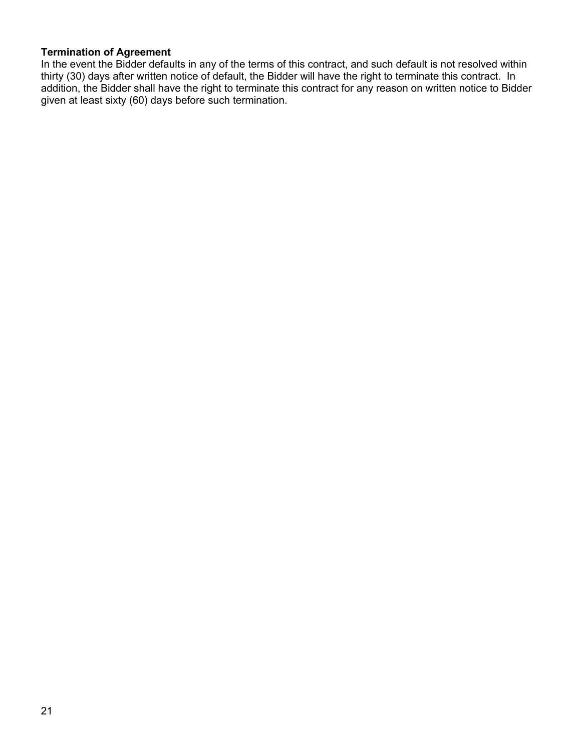#### **Termination of Agreement**

In the event the Bidder defaults in any of the terms of this contract, and such default is not resolved within thirty (30) days after written notice of default, the Bidder will have the right to terminate this contract. In addition, the Bidder shall have the right to terminate this contract for any reason on written notice to Bidder given at least sixty (60) days before such termination.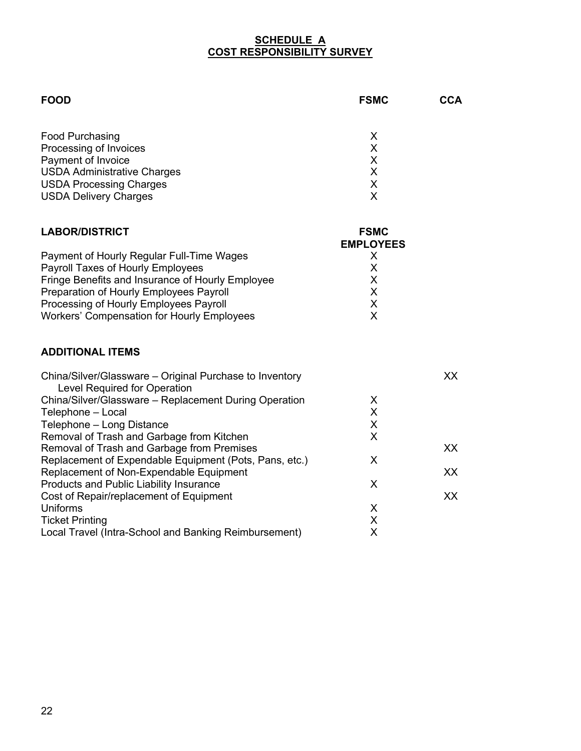#### **SCHEDULE A COST RESPONSIBILITY SURVEY**

| <b>FOOD</b>                                                                                                                                    | <b>FSMC</b>                | <b>CCA</b> |
|------------------------------------------------------------------------------------------------------------------------------------------------|----------------------------|------------|
| <b>Food Purchasing</b><br>Processing of Invoices<br>Payment of Invoice<br><b>USDA Administrative Charges</b><br><b>USDA Processing Charges</b> | X<br>X<br>X<br>X<br>X<br>X |            |
| <b>USDA Delivery Charges</b>                                                                                                                   |                            |            |
| <b>LABOR/DISTRICT</b>                                                                                                                          | <b>FSMC</b>                |            |
|                                                                                                                                                | <b>EMPLOYEES</b>           |            |
| Payment of Hourly Regular Full-Time Wages<br>Payroll Taxes of Hourly Employees                                                                 | X<br>X                     |            |
| Fringe Benefits and Insurance of Hourly Employee                                                                                               | X                          |            |
| Preparation of Hourly Employees Payroll                                                                                                        | X                          |            |
| Processing of Hourly Employees Payroll                                                                                                         | X                          |            |
| Workers' Compensation for Hourly Employees                                                                                                     | X                          |            |
| <b>ADDITIONAL ITEMS</b>                                                                                                                        |                            |            |
| China/Silver/Glassware – Original Purchase to Inventory<br>Level Required for Operation                                                        |                            | XX         |
| China/Silver/Glassware - Replacement During Operation                                                                                          | X                          |            |
| Telephone - Local                                                                                                                              | X                          |            |
| Telephone - Long Distance                                                                                                                      | X                          |            |
| Removal of Trash and Garbage from Kitchen<br>Removal of Trash and Garbage from Premises                                                        | X                          | XX         |
| Replacement of Expendable Equipment (Pots, Pans, etc.)                                                                                         | X                          |            |
| Replacement of Non-Expendable Equipment                                                                                                        |                            | XX         |
| Products and Public Liability Insurance                                                                                                        | X                          |            |
| Cost of Repair/replacement of Equipment                                                                                                        |                            | XX         |
| Uniforms                                                                                                                                       | X                          |            |
| <b>Ticket Printing</b>                                                                                                                         | X                          |            |

Local Travel (Intra-School and Banking Reimbursement) X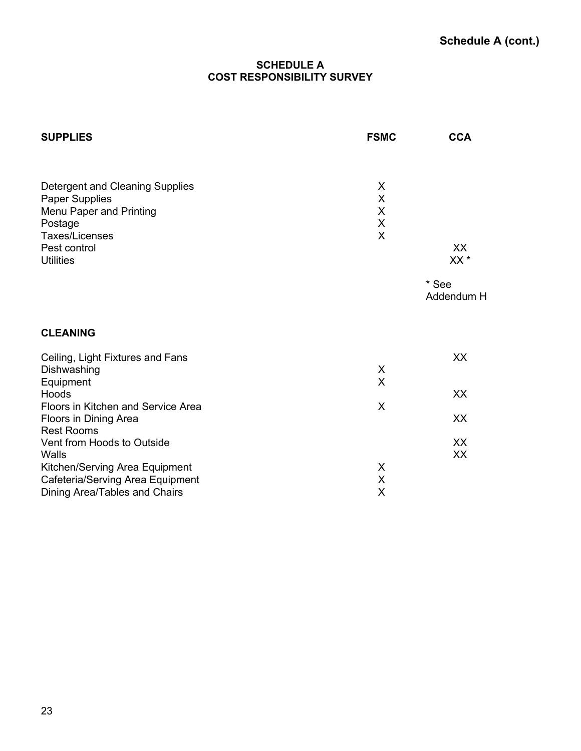#### **SCHEDULE A COST RESPONSIBILITY SURVEY**

| <b>SUPPLIES</b>                                                                                                                               | <b>FSMC</b>           | <b>CCA</b>            |
|-----------------------------------------------------------------------------------------------------------------------------------------------|-----------------------|-----------------------|
|                                                                                                                                               |                       |                       |
| Detergent and Cleaning Supplies<br>Paper Supplies<br>Menu Paper and Printing<br>Postage<br>Taxes/Licenses<br>Pest control<br><b>Utilities</b> | X<br>X<br>X<br>X<br>X | XX<br>$\mathsf{XX}$ * |
|                                                                                                                                               |                       | * See<br>Addendum H   |
| <b>CLEANING</b>                                                                                                                               |                       |                       |
| Ceiling, Light Fixtures and Fans<br>Dishwashing<br>Equipment                                                                                  | X<br>X                | XX                    |
| Hoods<br>Floors in Kitchen and Service Area                                                                                                   | X                     | XX                    |
| Floors in Dining Area<br><b>Rest Rooms</b><br>Vent from Hoods to Outside                                                                      |                       | XX<br>XX              |
| Walls<br>Kitchen/Serving Area Equipment<br>Cafeteria/Serving Area Equipment<br>Dining Area/Tables and Chairs                                  | X<br>X<br>X           | XX                    |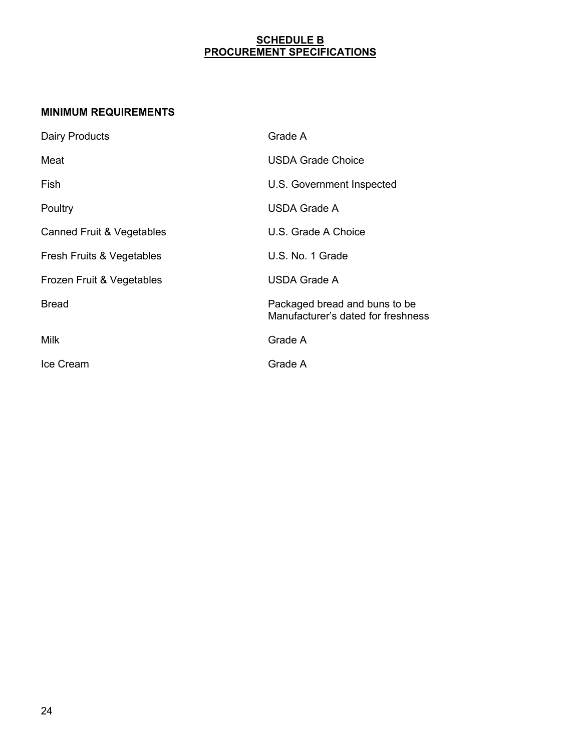#### **SCHEDULE B PROCUREMENT SPECIFICATIONS**

#### **MINIMUM REQUIREMENTS**

| <b>Dairy Products</b>     | Grade A                                                             |
|---------------------------|---------------------------------------------------------------------|
| Meat                      | <b>USDA Grade Choice</b>                                            |
| Fish                      | U.S. Government Inspected                                           |
| Poultry                   | USDA Grade A                                                        |
| Canned Fruit & Vegetables | U.S. Grade A Choice                                                 |
| Fresh Fruits & Vegetables | U.S. No. 1 Grade                                                    |
| Frozen Fruit & Vegetables | USDA Grade A                                                        |
| <b>Bread</b>              | Packaged bread and buns to be<br>Manufacturer's dated for freshness |
| <b>Milk</b>               | Grade A                                                             |
| Ice Cream                 | Grade A                                                             |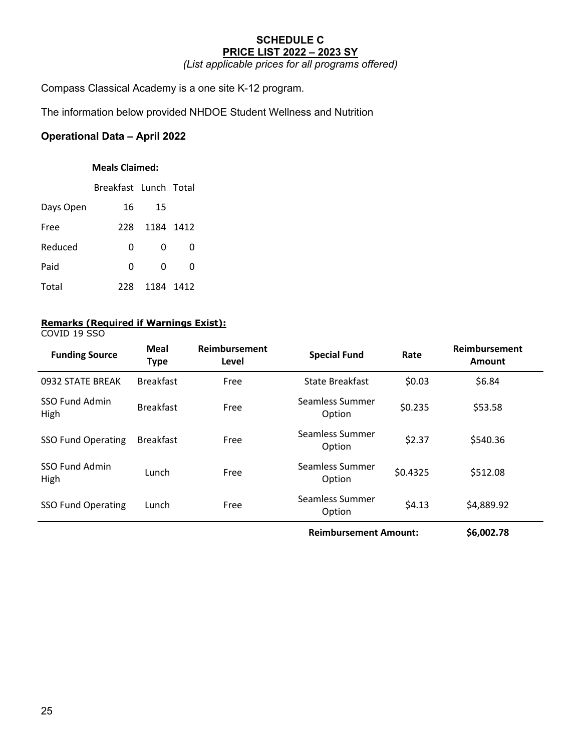#### **SCHEDULE C PRICE LIST 2022 – 2023 SY**

*(List applicable prices for all programs offered)*

Compass Classical Academy is a one site K-12 program.

The information below provided NHDOE Student Wellness and Nutrition

#### **Operational Data – April 2022**

#### **Meals Claimed:**

Breakfast Lunch Total Days Open 16 15 Free 228 1184 1412 Reduced 0 0 0

| Paid  | n             | 0 |
|-------|---------------|---|
| Total | 228 1184 1412 |   |

#### **Remarks (Required if Warnings Exist):**

COVID 19 SSO

| <b>Funding Source</b>         | <b>Meal</b><br><b>Type</b> | <b>Reimbursement</b><br>Level | <b>Special Fund</b>          | Rate     | Reimbursement<br><b>Amount</b> |
|-------------------------------|----------------------------|-------------------------------|------------------------------|----------|--------------------------------|
| 0932 STATE BREAK              | <b>Breakfast</b>           | Free                          | State Breakfast              | \$0.03   | \$6.84                         |
| SSO Fund Admin<br>High        | <b>Breakfast</b>           | Free                          | Seamless Summer<br>Option    | \$0.235  | \$53.58                        |
| <b>SSO Fund Operating</b>     | <b>Breakfast</b>           | Free                          | Seamless Summer<br>Option    | \$2.37   | \$540.36                       |
| <b>SSO Fund Admin</b><br>High | Lunch                      | Free                          | Seamless Summer<br>Option    | \$0.4325 | \$512.08                       |
| <b>SSO Fund Operating</b>     | Lunch                      | Free                          | Seamless Summer<br>Option    | \$4.13   | \$4,889.92                     |
|                               |                            |                               | <b>Reimbursement Amount:</b> |          | \$6,002.78                     |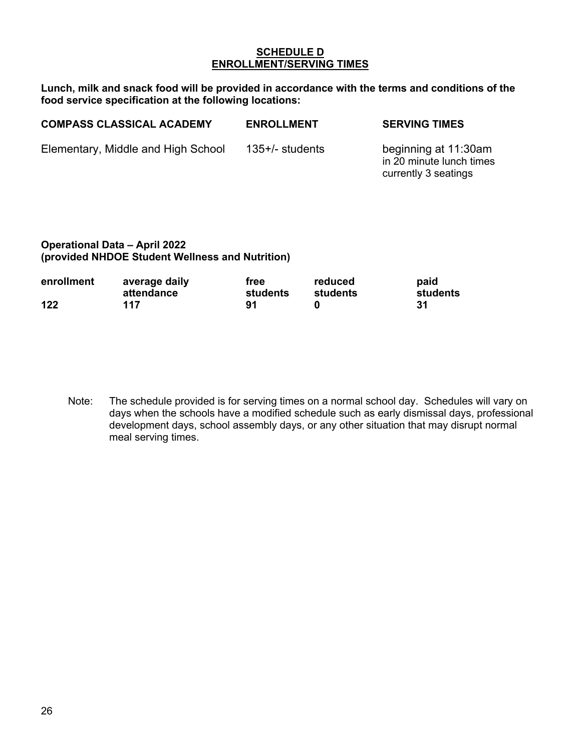#### **SCHEDULE D ENROLLMENT/SERVING TIMES**

**Lunch, milk and snack food will be provided in accordance with the terms and conditions of the food service specification at the following locations:**

| <b>COMPASS CLASSICAL ACADEMY</b>   | <b>ENROLLMENT</b> | <b>SERVING TIMES</b>                                                     |
|------------------------------------|-------------------|--------------------------------------------------------------------------|
| Elementary, Middle and High School | $135+/-$ students | beginning at 11:30am<br>in 20 minute lunch times<br>currently 3 seatings |

#### **Operational Data – April 2022 (provided NHDOE Student Wellness and Nutrition)**

| enrollment | average daily | free     | reduced  | paid     |
|------------|---------------|----------|----------|----------|
|            | attendance    | students | students | students |
| 122        | 117           | 91       |          | 31       |

Note: The schedule provided is for serving times on a normal school day. Schedules will vary on days when the schools have a modified schedule such as early dismissal days, professional development days, school assembly days, or any other situation that may disrupt normal meal serving times.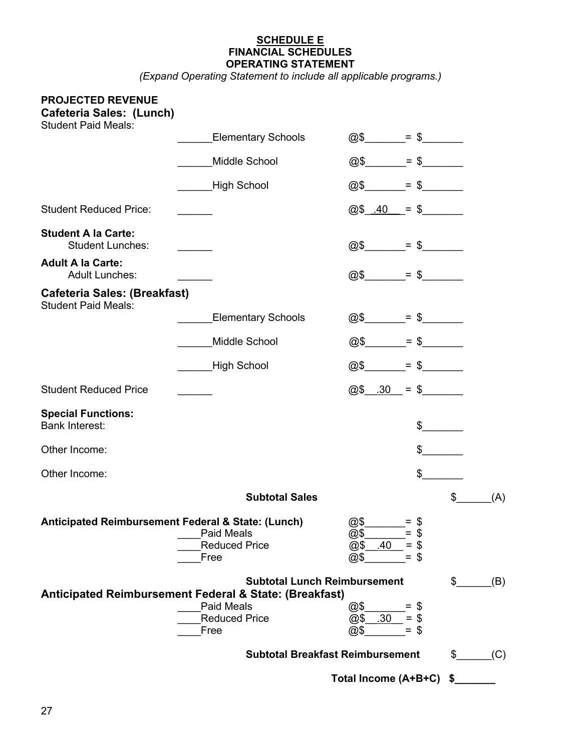#### **SCHEDULE E FINANCIAL SCHEDULES OPERATING STATEMENT**

*(Expand Operating Statement to include all applicable programs.)*

| <b>PROJECTED REVENUE</b><br><b>Cafeteria Sales: (Lunch)</b><br><b>Student Paid Meals:</b> |                                                                                                                        |                                                                 |    |     |
|-------------------------------------------------------------------------------------------|------------------------------------------------------------------------------------------------------------------------|-----------------------------------------------------------------|----|-----|
|                                                                                           | <b>Elementary Schools</b>                                                                                              | @\$                                                             |    |     |
|                                                                                           | Middle School                                                                                                          | @\$<br>$=$ \$                                                   |    |     |
|                                                                                           | High School                                                                                                            | $=$ \$<br>@5                                                    |    |     |
| <b>Student Reduced Price:</b>                                                             |                                                                                                                        | $@$$ $40$ = \$                                                  |    |     |
| <b>Student A la Carte:</b><br><b>Student Lunches:</b>                                     |                                                                                                                        | $=$ \$<br>@\$                                                   |    |     |
| <b>Adult A la Carte:</b><br><b>Adult Lunches:</b>                                         |                                                                                                                        | $=$ \$<br>@\$                                                   |    |     |
| <b>Cafeteria Sales: (Breakfast)</b><br><b>Student Paid Meals:</b>                         |                                                                                                                        |                                                                 |    |     |
|                                                                                           | <b>Elementary Schools</b>                                                                                              | $=$ \$<br>@\$                                                   |    |     |
|                                                                                           | Middle School                                                                                                          | @\$<br>$=$ \$                                                   |    |     |
|                                                                                           | High School                                                                                                            | $=$ \$<br>@\$                                                   |    |     |
| <b>Student Reduced Price</b>                                                              |                                                                                                                        | $@$$ .30 = \$                                                   |    |     |
| <b>Special Functions:</b><br><b>Bank Interest:</b>                                        |                                                                                                                        | $\frac{1}{\sqrt{2}}$                                            |    |     |
| Other Income:                                                                             |                                                                                                                        | $\mathbb{S}^-$                                                  |    |     |
| Other Income:                                                                             |                                                                                                                        | \$                                                              |    |     |
|                                                                                           | <b>Subtotal Sales</b>                                                                                                  |                                                                 | \$ | (A) |
| Anticipated Reimbursement Federal & State: (Lunch)                                        | <b>Paid Meals</b><br><b>Reduced Price</b><br>Free                                                                      | \$<br>@\$<br>@<br>\$<br>@\$<br>\$<br>.40<br>Ξ<br>@\$<br>\$<br>= |    |     |
| \$<br><b>Subtotal Lunch Reimbursement</b>                                                 |                                                                                                                        |                                                                 |    | (B) |
|                                                                                           | <b>Anticipated Reimbursement Federal &amp; State: (Breakfast)</b><br><b>Paid Meals</b><br><b>Reduced Price</b><br>Free | @\$<br>.30 <sub>1</sub><br>@\$<br>$=$ \$<br>@\$<br>$=$ \$       |    |     |
|                                                                                           | <b>Subtotal Breakfast Reimbursement</b>                                                                                |                                                                 | \$ | (C) |
|                                                                                           |                                                                                                                        | Total Income (A+B+C)                                            | \$ |     |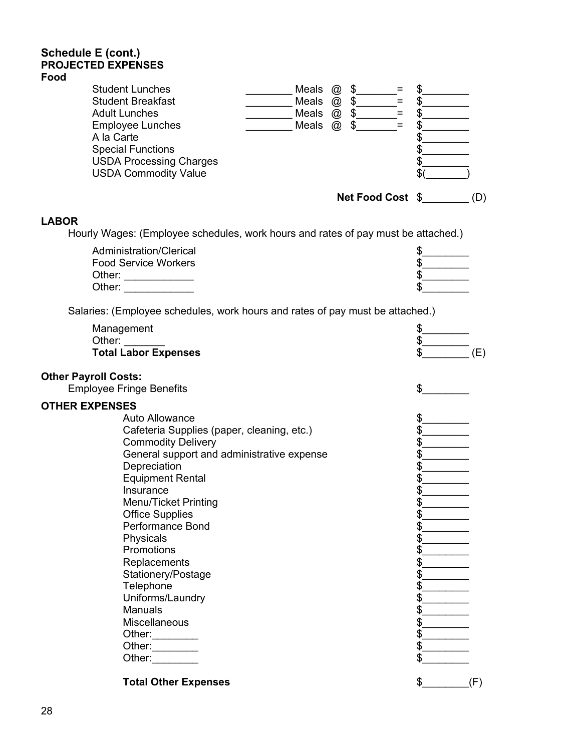#### **Schedule E (cont.) PROJECTED EXPENSES Food**

| <b>Student Lunches</b><br><b>Student Breakfast</b><br><b>Adult Lunches</b><br><b>Employee Lunches</b><br>A la Carte<br><b>Special Functions</b> | Meals<br>Meals<br>Meals<br>Meals | ω.<br>@<br>$^{\textregistered}$<br>@ | ⋍<br>£.                 |    |  |
|-------------------------------------------------------------------------------------------------------------------------------------------------|----------------------------------|--------------------------------------|-------------------------|----|--|
| <b>USDA Processing Charges</b><br><b>USDA Commodity Value</b>                                                                                   |                                  |                                      |                         | ۰D |  |
|                                                                                                                                                 |                                  |                                      | <b>Net Food Cost \$</b> |    |  |

#### **LABOR**

Hourly Wages: (Employee schedules, work hours and rates of pay must be attached.)

| Administration/Clerical     |  |
|-----------------------------|--|
| <b>Food Service Workers</b> |  |
| Other:                      |  |
| Other:                      |  |

Salaries: (Employee schedules, work hours and rates of pay must be attached.)

| Management                                 | \$        |
|--------------------------------------------|-----------|
| Other:                                     | \$        |
| <b>Total Labor Expenses</b>                | \$<br>(E) |
| <b>Other Payroll Costs:</b>                |           |
| <b>Employee Fringe Benefits</b>            | \$        |
| <b>OTHER EXPENSES</b>                      |           |
| Auto Allowance                             |           |
| Cafeteria Supplies (paper, cleaning, etc.) |           |
| <b>Commodity Delivery</b>                  | \$        |
| General support and administrative expense |           |
| Depreciation                               |           |
| <b>Equipment Rental</b>                    | \$        |
| Insurance                                  | \$        |
| <b>Menu/Ticket Printing</b>                | \$        |
| <b>Office Supplies</b>                     | \$        |
| Performance Bond                           | \$        |
| Physicals                                  |           |
| Promotions                                 | \$        |
| Replacements                               | \$        |
| Stationery/Postage                         | \$        |
| Telephone                                  | \$        |
| Uniforms/Laundry                           | \$        |
| <b>Manuals</b>                             | \$        |
| Miscellaneous                              | \$        |
| Other:                                     | \$        |
| Other:                                     | \$        |
| Other:                                     | \$        |
| <b>Total Other Expenses</b>                | \$<br>(F) |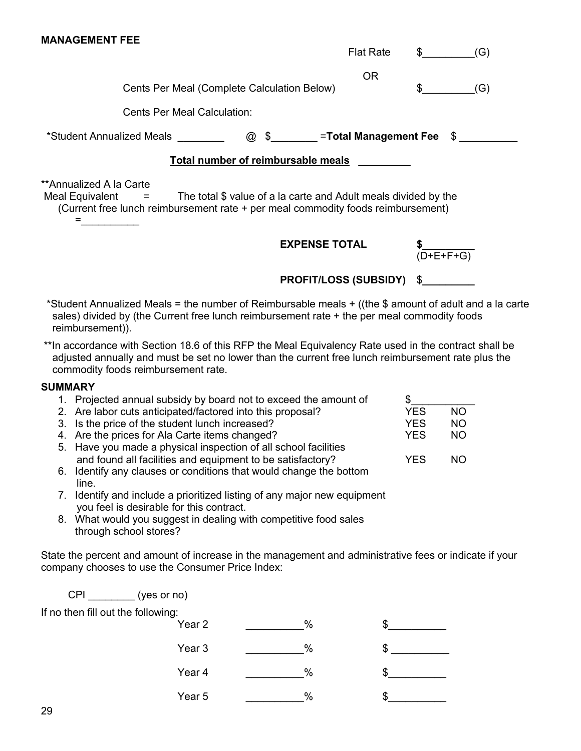|                                    |                                                            | <b>PROFIT/LOSS (SUBSIDY)</b> \$                                                                                                                                                            |               |           |
|------------------------------------|------------------------------------------------------------|--------------------------------------------------------------------------------------------------------------------------------------------------------------------------------------------|---------------|-----------|
| reimbursement)).                   |                                                            | *Student Annualized Meals = the number of Reimbursable meals + ((the \$ amount of adult ar<br>sales) divided by (the Current free lunch reimbursement rate + the per meal commodity food   |               |           |
|                                    | commodity foods reimbursement rate.                        | ** In accordance with Section 18.6 of this RFP the Meal Equivalency Rate used in the contract<br>adjusted annually and must be set no lower than the current free lunch reimbursement rate |               |           |
| <b>SUMMARY</b>                     |                                                            |                                                                                                                                                                                            |               |           |
|                                    |                                                            | 1. Projected annual subsidy by board not to exceed the amount of                                                                                                                           | \$            |           |
|                                    | 2. Are labor cuts anticipated/factored into this proposal? |                                                                                                                                                                                            | <b>YES</b>    | <b>NO</b> |
|                                    | 3. Is the price of the student lunch increased?            |                                                                                                                                                                                            | <b>YES</b>    | <b>NO</b> |
|                                    | 4. Are the prices for Ala Carte items changed?             | 5. Have you made a physical inspection of all school facilities                                                                                                                            | <b>YES</b>    | <b>NO</b> |
|                                    | and found all facilities and equipment to be satisfactory? |                                                                                                                                                                                            | <b>YES</b>    | <b>NO</b> |
| 6.                                 |                                                            | Identify any clauses or conditions that would change the bottom                                                                                                                            |               |           |
| line.                              |                                                            |                                                                                                                                                                                            |               |           |
|                                    |                                                            | 7. Identify and include a prioritized listing of any major new equipment                                                                                                                   |               |           |
|                                    | you feel is desirable for this contract.                   | 8. What would you suggest in dealing with competitive food sales                                                                                                                           |               |           |
| through school stores?             |                                                            |                                                                                                                                                                                            |               |           |
|                                    | company chooses to use the Consumer Price Index:           | State the percent and amount of increase in the management and administrative fees or indica                                                                                               |               |           |
| CPI _________ (yes or no)          |                                                            |                                                                                                                                                                                            |               |           |
| If no then fill out the following: |                                                            |                                                                                                                                                                                            |               |           |
|                                    | Year <sub>2</sub>                                          | $\%$                                                                                                                                                                                       | $\frac{1}{2}$ |           |
|                                    | Year <sub>3</sub>                                          | %                                                                                                                                                                                          | $\frac{1}{2}$ |           |
|                                    | Year 4                                                     | $\%$                                                                                                                                                                                       | $\frac{1}{2}$ |           |
|                                    | Year <sub>5</sub>                                          | %                                                                                                                                                                                          | \$            |           |
| 29                                 |                                                            |                                                                                                                                                                                            |               |           |
|                                    |                                                            |                                                                                                                                                                                            |               |           |
|                                    |                                                            |                                                                                                                                                                                            |               |           |

\*Student Annualized Meals = the number of Reimbursable meals + ((the \$ amount of adult and a la carte sales) divided by (the Current free lunch reimbursement rate + the per meal commodity foods reimbursement)).

\*\*In accordance with Section 18.6 of this RFP the Meal Equivalency Rate used in the contract shall be adjusted annually and must be set no lower than the current free lunch reimbursement rate plus the commodity foods reimbursement rate.

#### **SU**

State the percent and amount of increase in the management and administrative fees or indicate if your company chooses to use the Consumer Price Index:

**MANAGEMENT FEE**

|                                             | OR |     |
|---------------------------------------------|----|-----|
| Cents Per Meal (Complete Calculation Below) |    | (G) |

Cents Per Meal Calculation:

\*Student Annualized Meals **by Computer Computer Section 1 and Student Fee** \$  $\bullet$ 

#### **Total number of reimbursable meals** \_\_\_\_\_\_\_\_\_

\*\*Annualized A la Carte

Meal Equivalent  $=$  The total \$ value of a la carte and Adult meals divided by the (Current free lunch reimbursement rate + per meal commodity foods reimbursement) =\_\_\_\_\_\_\_\_\_\_

**EXPENSE TOTAL** 

 $$$   $(D+E+F+G)$ 

Flat Rate  $\qquad \qquad \text{\$}$  (G)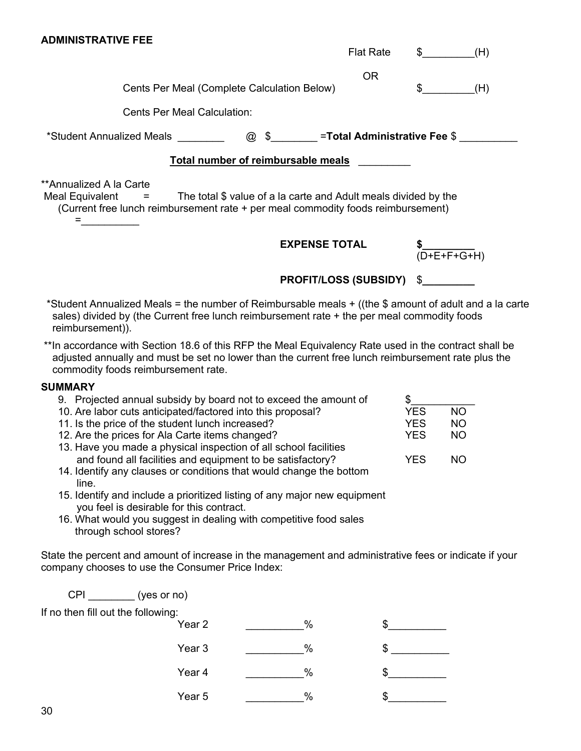| *Student Annualized Meals                                                                                                                                                                                                                                                                                                                                                                                                                                                                                                                                                                                                                                                                                                                                                                                                                                     |                                    | $\mathfrak{S}$<br>@ | =Total Administrative Fee \$                                    |                                                            |                                                  |
|---------------------------------------------------------------------------------------------------------------------------------------------------------------------------------------------------------------------------------------------------------------------------------------------------------------------------------------------------------------------------------------------------------------------------------------------------------------------------------------------------------------------------------------------------------------------------------------------------------------------------------------------------------------------------------------------------------------------------------------------------------------------------------------------------------------------------------------------------------------|------------------------------------|---------------------|-----------------------------------------------------------------|------------------------------------------------------------|--------------------------------------------------|
|                                                                                                                                                                                                                                                                                                                                                                                                                                                                                                                                                                                                                                                                                                                                                                                                                                                               | Total number of reimbursable meals |                     |                                                                 |                                                            |                                                  |
| **Annualized A la Carte<br>Meal Equivalent<br>=<br>(Current free lunch reimbursement rate + per meal commodity foods reimbursement)                                                                                                                                                                                                                                                                                                                                                                                                                                                                                                                                                                                                                                                                                                                           |                                    |                     | The total \$ value of a la carte and Adult meals divided by the |                                                            |                                                  |
|                                                                                                                                                                                                                                                                                                                                                                                                                                                                                                                                                                                                                                                                                                                                                                                                                                                               |                                    |                     | <b>EXPENSE TOTAL</b>                                            |                                                            | \$___________<br>(D+E+F+G+H)                     |
|                                                                                                                                                                                                                                                                                                                                                                                                                                                                                                                                                                                                                                                                                                                                                                                                                                                               |                                    |                     | <b>PROFIT/LOSS (SUBSIDY)</b>                                    |                                                            |                                                  |
| *Student Annualized Meals = the number of Reimbursable meals + ((the \$ amount of adult and a la<br>sales) divided by (the Current free lunch reimbursement rate + the per meal commodity foods<br>reimbursement)).<br>** In accordance with Section 18.6 of this RFP the Meal Equivalency Rate used in the contract shall                                                                                                                                                                                                                                                                                                                                                                                                                                                                                                                                    |                                    |                     |                                                                 |                                                            |                                                  |
| adjusted annually and must be set no lower than the current free lunch reimbursement rate plus tl<br>commodity foods reimbursement rate.                                                                                                                                                                                                                                                                                                                                                                                                                                                                                                                                                                                                                                                                                                                      |                                    |                     |                                                                 |                                                            |                                                  |
| <b>SUMMARY</b><br>9. Projected annual subsidy by board not to exceed the amount of<br>10. Are labor cuts anticipated/factored into this proposal?<br>11. Is the price of the student lunch increased?<br>12. Are the prices for Ala Carte items changed?<br>13. Have you made a physical inspection of all school facilities<br>and found all facilities and equipment to be satisfactory?<br>14. Identify any clauses or conditions that would change the bottom<br>line.<br>15. Identify and include a prioritized listing of any major new equipment<br>you feel is desirable for this contract.<br>16. What would you suggest in dealing with competitive food sales<br>through school stores?<br>State the percent and amount of increase in the management and administrative fees or indicate if y<br>company chooses to use the Consumer Price Index: |                                    |                     |                                                                 | \$<br><b>YES</b><br><b>YES</b><br><b>YES</b><br><b>YES</b> | <b>NO</b><br><b>NO</b><br><b>NO</b><br><b>NO</b> |
| CPI __________ (yes or no)                                                                                                                                                                                                                                                                                                                                                                                                                                                                                                                                                                                                                                                                                                                                                                                                                                    |                                    |                     |                                                                 |                                                            |                                                  |
| If no then fill out the following:                                                                                                                                                                                                                                                                                                                                                                                                                                                                                                                                                                                                                                                                                                                                                                                                                            | Year 2                             |                     | %                                                               |                                                            |                                                  |
|                                                                                                                                                                                                                                                                                                                                                                                                                                                                                                                                                                                                                                                                                                                                                                                                                                                               | Year <sub>3</sub>                  |                     | $\%$                                                            |                                                            |                                                  |
|                                                                                                                                                                                                                                                                                                                                                                                                                                                                                                                                                                                                                                                                                                                                                                                                                                                               |                                    |                     |                                                                 |                                                            |                                                  |

\*Student Annualized Meals = the number of Reimbursable meals + ((the \$ amount of adult and a la carte

Cents Per Meal (Complete Calculation Below)  $\qquad$  \$ (H)

Flat Rate  $\qquad \qquad \text{S}$  (H)

OR

#### **SU**

**ADMINISTRATIVE FEE**

Cents Per Meal Calculation:

Year 4 \_\_\_\_\_\_\_\_\_\_% \$\_\_\_\_\_\_\_\_\_\_ Year 5 \_\_\_\_\_\_\_\_\_\_\_\_% \$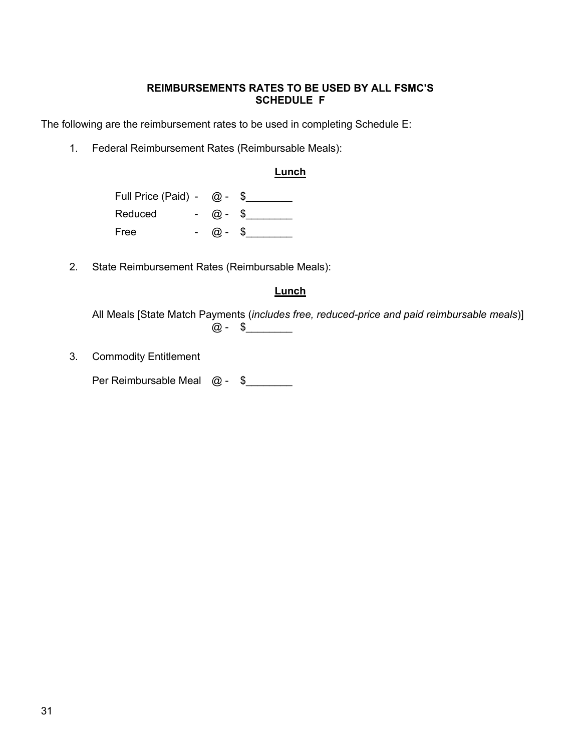#### **REIMBURSEMENTS RATES TO BE USED BY ALL FSMC'S SCHEDULE F**

The following are the reimbursement rates to be used in completing Schedule E:

1. Federal Reimbursement Rates (Reimbursable Meals):

#### **Lunch**

| Full Price (Paid) - $@$ - |               |  |
|---------------------------|---------------|--|
| Reduced                   | $\omega -$ \$ |  |
| Free                      | $\omega -$ \$ |  |

2. State Reimbursement Rates (Reimbursable Meals):

#### **Lunch**

All Meals [State Match Payments (*includes free, reduced-price and paid reimbursable meals*)]  $@ - $$ 

3. Commodity Entitlement

Per Reimbursable Meal  $@ - $$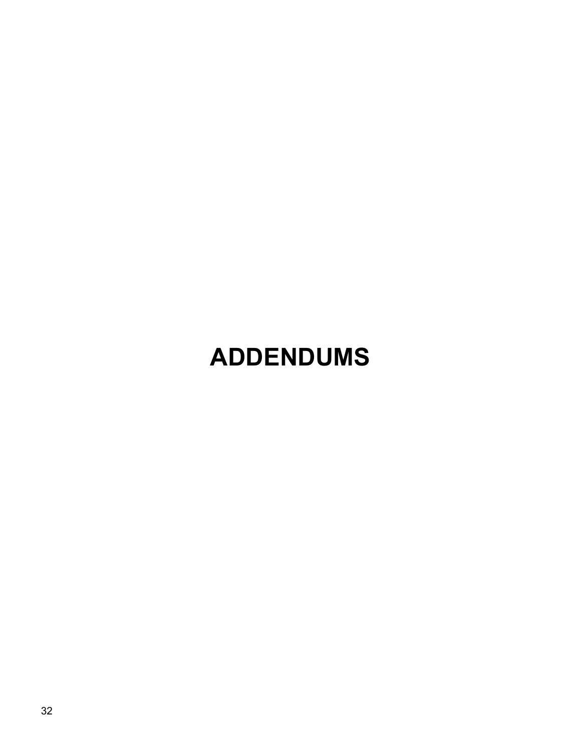# **ADDENDUMS**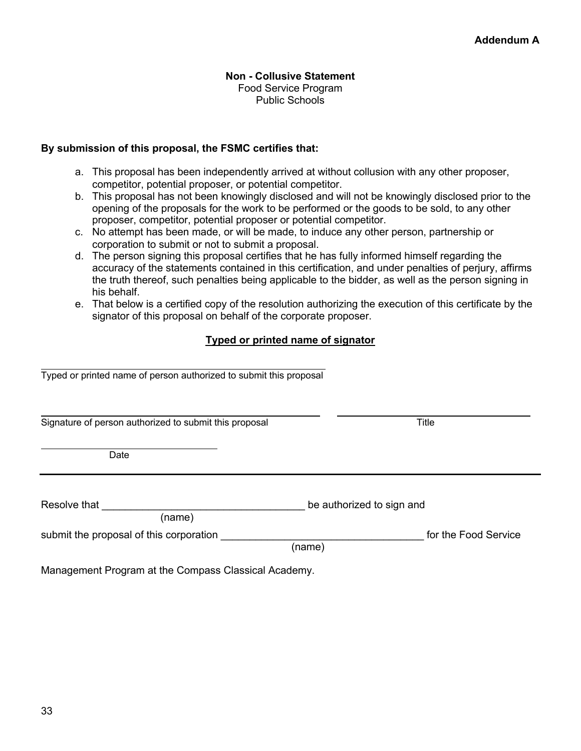**Non - Collusive Statement** Food Service Program Public Schools

#### **By submission of this proposal, the FSMC certifies that:**

- a. This proposal has been independently arrived at without collusion with any other proposer, competitor, potential proposer, or potential competitor.
- b. This proposal has not been knowingly disclosed and will not be knowingly disclosed prior to the opening of the proposals for the work to be performed or the goods to be sold, to any other proposer, competitor, potential proposer or potential competitor.
- c. No attempt has been made, or will be made, to induce any other person, partnership or corporation to submit or not to submit a proposal.
- d. The person signing this proposal certifies that he has fully informed himself regarding the accuracy of the statements contained in this certification, and under penalties of perjury, affirms the truth thereof, such penalties being applicable to the bidder, as well as the person signing in his behalf.
- e. That below is a certified copy of the resolution authorizing the execution of this certificate by the signator of this proposal on behalf of the corporate proposer.

#### **Typed or printed name of signator**

Typed or printed name of person authorized to submit this proposal

Signature of person authorized to submit this proposal Title

**Date** 

| Resolve that |        | be authorized to sign and |  |
|--------------|--------|---------------------------|--|
|              | 'name) |                           |  |

(name)

submit the proposal of this corporation example of the Food Service of the Food Service

Management Program at the Compass Classical Academy.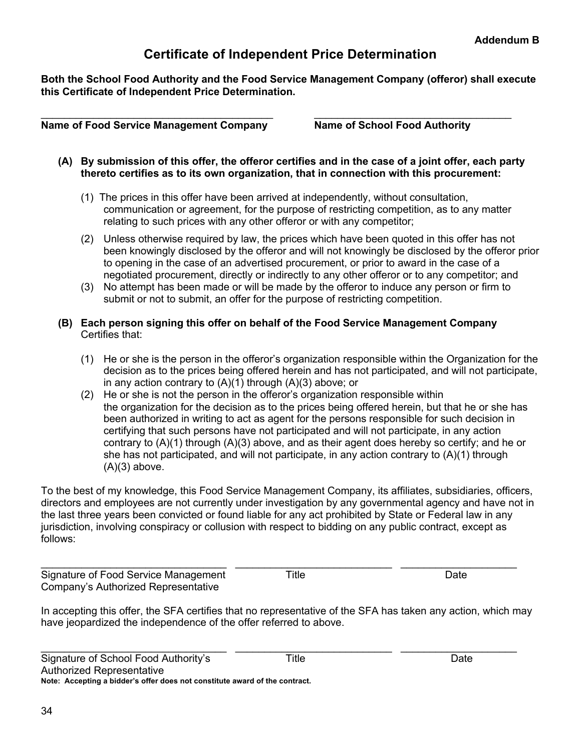### **Certificate of Independent Price Determination**

**Both the School Food Authority and the Food Service Management Company (offeror) shall execute this Certificate of Independent Price Determination.**

 $\_$ 

- **(A) By submission of this offer, the offeror certifies and in the case of a joint offer, each party thereto certifies as to its own organization, that in connection with this procurement:**
	- (1) The prices in this offer have been arrived at independently, without consultation, communication or agreement, for the purpose of restricting competition, as to any matter relating to such prices with any other offeror or with any competitor;
	- (2) Unless otherwise required by law, the prices which have been quoted in this offer has not been knowingly disclosed by the offeror and will not knowingly be disclosed by the offeror prior to opening in the case of an advertised procurement, or prior to award in the case of a negotiated procurement, directly or indirectly to any other offeror or to any competitor; and
	- (3) No attempt has been made or will be made by the offeror to induce any person or firm to submit or not to submit, an offer for the purpose of restricting competition.

#### **(B) Each person signing this offer on behalf of the Food Service Management Company** Certifies that:

- (1) He or she is the person in the offeror's organization responsible within the Organization for the decision as to the prices being offered herein and has not participated, and will not participate, in any action contrary to (A)(1) through (A)(3) above; or
- (2) He or she is not the person in the offeror's organization responsible within the organization for the decision as to the prices being offered herein, but that he or she has been authorized in writing to act as agent for the persons responsible for such decision in certifying that such persons have not participated and will not participate, in any action contrary to (A)(1) through (A)(3) above, and as their agent does hereby so certify; and he or she has not participated, and will not participate, in any action contrary to (A)(1) through  $(A)(3)$  above.

To the best of my knowledge, this Food Service Management Company, its affiliates, subsidiaries, officers, directors and employees are not currently under investigation by any governmental agency and have not in the last three years been convicted or found liable for any act prohibited by State or Federal law in any jurisdiction, involving conspiracy or collusion with respect to bidding on any public contract, except as follows:

| Signature of Food Service Management | ™itle | Date |
|--------------------------------------|-------|------|
| Company's Authorized Representative  |       |      |

In accepting this offer, the SFA certifies that no representative of the SFA has taken any action, which may have jeopardized the independence of the offer referred to above.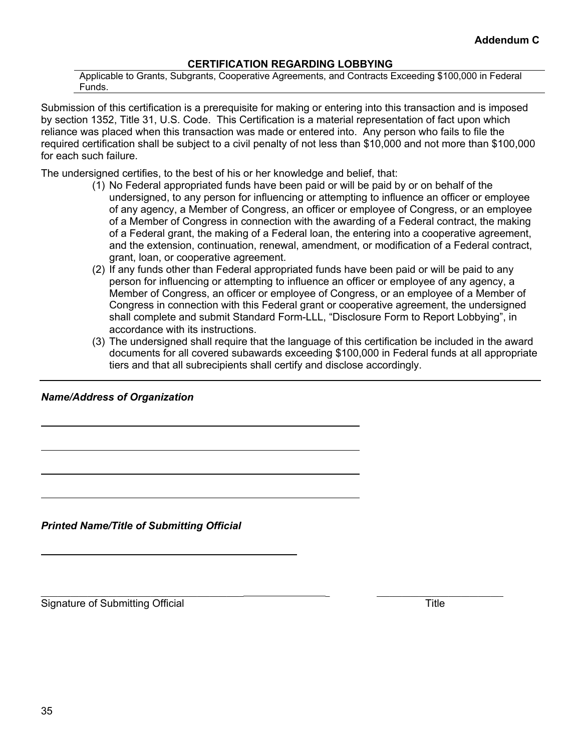#### **CERTIFICATION REGARDING LOBBYING**

Applicable to Grants, Subgrants, Cooperative Agreements, and Contracts Exceeding \$100,000 in Federal Funds.

Submission of this certification is a prerequisite for making or entering into this transaction and is imposed by section 1352, Title 31, U.S. Code. This Certification is a material representation of fact upon which reliance was placed when this transaction was made or entered into. Any person who fails to file the required certification shall be subject to a civil penalty of not less than \$10,000 and not more than \$100,000 for each such failure.

The undersigned certifies, to the best of his or her knowledge and belief, that:

- (1) No Federal appropriated funds have been paid or will be paid by or on behalf of the undersigned, to any person for influencing or attempting to influence an officer or employee of any agency, a Member of Congress, an officer or employee of Congress, or an employee of a Member of Congress in connection with the awarding of a Federal contract, the making of a Federal grant, the making of a Federal loan, the entering into a cooperative agreement, and the extension, continuation, renewal, amendment, or modification of a Federal contract, grant, loan, or cooperative agreement.
- (2) If any funds other than Federal appropriated funds have been paid or will be paid to any person for influencing or attempting to influence an officer or employee of any agency, a Member of Congress, an officer or employee of Congress, or an employee of a Member of Congress in connection with this Federal grant or cooperative agreement, the undersigned shall complete and submit Standard Form-LLL, "Disclosure Form to Report Lobbying", in accordance with its instructions.
- (3) The undersigned shall require that the language of this certification be included in the award documents for all covered subawards exceeding \$100,000 in Federal funds at all appropriate tiers and that all subrecipients shall certify and disclose accordingly.

 $\_$  ,  $\_$  ,  $\_$  ,  $\_$  ,  $\_$  ,  $\_$  ,  $\_$  ,  $\_$  ,  $\_$  ,  $\_$  ,  $\_$  ,  $\_$  ,  $\_$  ,  $\_$  ,  $\_$  ,  $\_$  ,  $\_$  ,  $\_$  ,  $\_$  ,  $\_$  ,  $\_$  ,  $\_$  ,  $\_$  ,  $\_$  ,  $\_$  ,  $\_$  ,  $\_$  ,  $\_$  ,  $\_$  ,  $\_$  ,  $\_$  ,  $\_$  ,  $\_$  ,  $\_$  ,  $\_$  ,  $\_$  ,  $\_$  ,

*Name/Address of Organization*

*Printed Name/Title of Submitting Official*

Signature of Submitting Official Title Theory of Submitting Official Title Title Title Title Title Title Title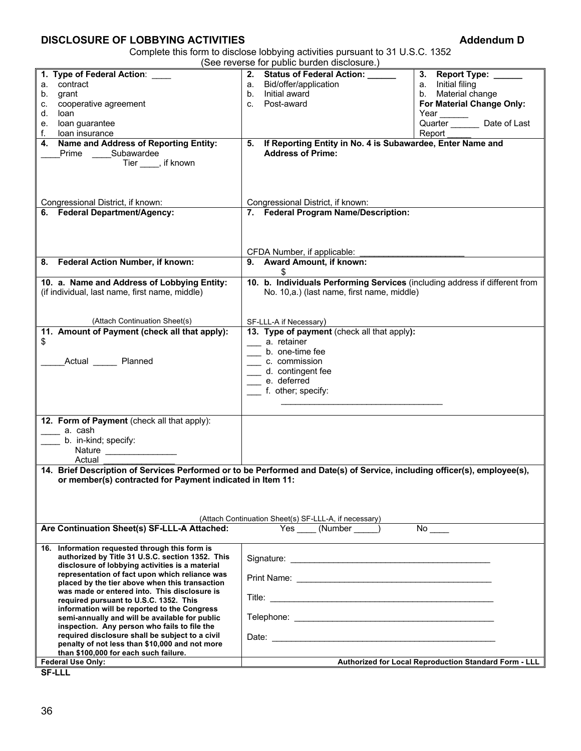#### **DISCLOSURE OF LOBBYING ACTIVITIES** Addendum D

Complete this form to disclose lobbying activities pursuant to 31 U.S.C. 1352

|                                                                                                                                                                                                                                                                                                                                                                                                                                                                                                                                                          | (See reverse for public burden disclosure.)                                                                                                                                                    |                                                                                                                                                     |
|----------------------------------------------------------------------------------------------------------------------------------------------------------------------------------------------------------------------------------------------------------------------------------------------------------------------------------------------------------------------------------------------------------------------------------------------------------------------------------------------------------------------------------------------------------|------------------------------------------------------------------------------------------------------------------------------------------------------------------------------------------------|-----------------------------------------------------------------------------------------------------------------------------------------------------|
| 1. Type of Federal Action:<br>contract<br>a.<br>grant<br>b.<br>cooperative agreement<br>c.<br>d.<br>loan<br>loan guarantee<br>е.<br>f.<br>loan insurance<br>4. Name and Address of Reporting Entity:                                                                                                                                                                                                                                                                                                                                                     | 2. Status of Federal Action:<br>Bid/offer/application<br>а.<br>Initial award<br>b.<br>c. Post-award<br>5. If Reporting Entity in No. 4 is Subawardee, Enter Name and                           | 3. Report Type:<br>a. Initial filing<br>b. Material change<br>For Material Change Only:<br>Year $\_\_\_\_\_\_\_\$<br>Quarter Date of Last<br>Report |
| Prime Subawardee<br>Tier ____, if known<br>Congressional District, if known:<br>6. Federal Department/Agency:                                                                                                                                                                                                                                                                                                                                                                                                                                            | <b>Address of Prime:</b><br>Congressional District, if known:<br>7. Federal Program Name/Description:                                                                                          |                                                                                                                                                     |
| Federal Action Number, if known:<br>8.                                                                                                                                                                                                                                                                                                                                                                                                                                                                                                                   | CFDA Number, if applicable:<br>9. Award Amount, if known:                                                                                                                                      |                                                                                                                                                     |
| 10. a. Name and Address of Lobbying Entity:<br>(if individual, last name, first name, middle)                                                                                                                                                                                                                                                                                                                                                                                                                                                            | 10. b. Individuals Performing Services (including address if different from<br>No. 10,a.) (last name, first name, middle)                                                                      |                                                                                                                                                     |
| (Attach Continuation Sheet(s)<br>11. Amount of Payment (check all that apply):<br>\$<br>Actual Planned                                                                                                                                                                                                                                                                                                                                                                                                                                                   | SF-LLL-A if Necessary)<br>13. Type of payment (check all that apply):<br>__ a. retainer<br>b. one-time fee<br>c. commission<br>__ d. contingent fee<br>e. deferred<br>_____ f. other; specify: |                                                                                                                                                     |
| 12. Form of Payment (check all that apply):<br>a. cash<br>b. in-kind; specify:<br>Nature ________________<br>Actual<br>14. Brief Description of Services Performed or to be Performed and Date(s) of Service, including officer(s), employee(s),                                                                                                                                                                                                                                                                                                         |                                                                                                                                                                                                |                                                                                                                                                     |
| or member(s) contracted for Payment indicated in Item 11:<br>Are Continuation Sheet(s) SF-LLL-A Attached:                                                                                                                                                                                                                                                                                                                                                                                                                                                | (Attach Continuation Sheet(s) SF-LLL-A, if necessary)<br>Yes (Number )                                                                                                                         |                                                                                                                                                     |
| 16. Information requested through this form is<br>authorized by Title 31 U.S.C. section 1352. This<br>disclosure of lobbying activities is a material<br>representation of fact upon which reliance was<br>placed by the tier above when this transaction<br>was made or entered into. This disclosure is<br>required pursuant to U.S.C. 1352. This<br>information will be reported to the Congress<br>semi-annually and will be available for public<br>inspection. Any person who fails to file the<br>required disclosure shall be subject to a civil |                                                                                                                                                                                                |                                                                                                                                                     |
| penalty of not less than \$10,000 and not more                                                                                                                                                                                                                                                                                                                                                                                                                                                                                                           |                                                                                                                                                                                                |                                                                                                                                                     |

**SF-LLL**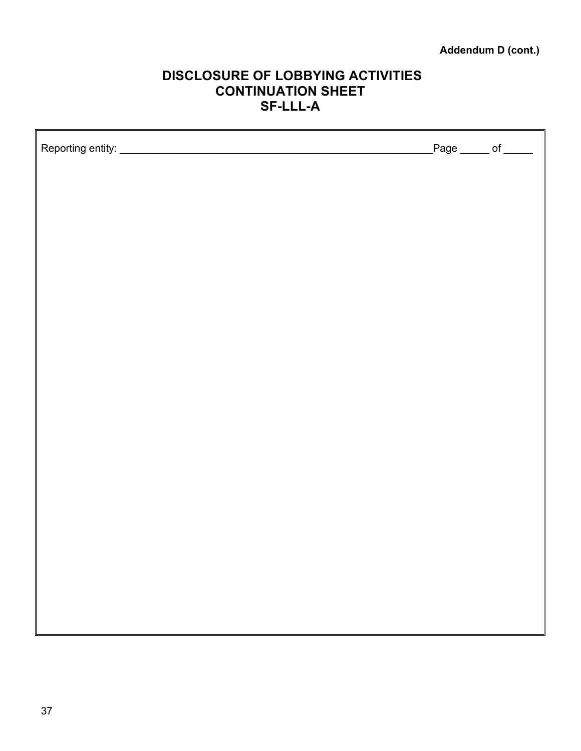### **Addendum D (cont.)**

#### **DISCLOSURE OF LOBBYING ACTIVITIES CONTINUATION SHEET SF-LLL-A**

| $Page$ <sub>_____</sub> of ____ |  |
|---------------------------------|--|
|                                 |  |
|                                 |  |
|                                 |  |
|                                 |  |
|                                 |  |
|                                 |  |
|                                 |  |
|                                 |  |
|                                 |  |
|                                 |  |
|                                 |  |
|                                 |  |
|                                 |  |
|                                 |  |
|                                 |  |
|                                 |  |
|                                 |  |
|                                 |  |
|                                 |  |
|                                 |  |
|                                 |  |

П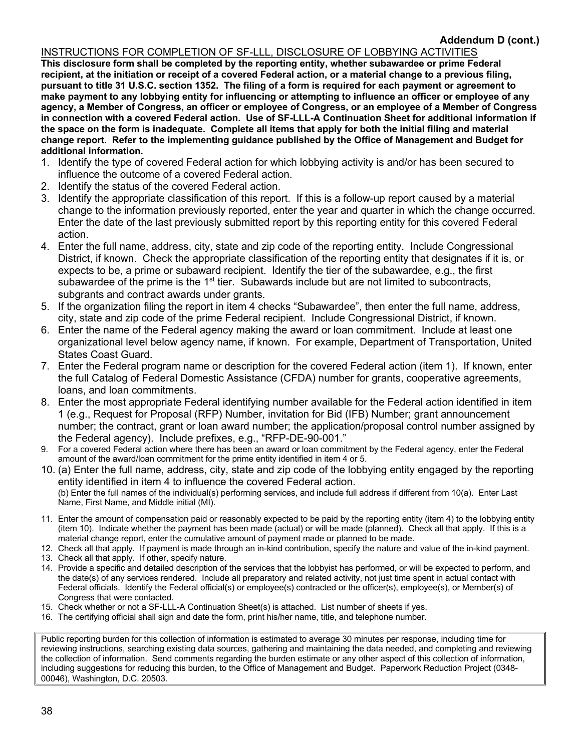#### INSTRUCTIONS FOR COMPLETION OF SF-LLL, DISCLOSURE OF LOBBYING ACTIVITIES

**This disclosure form shall be completed by the reporting entity, whether subawardee or prime Federal recipient, at the initiation or receipt of a covered Federal action, or a material change to a previous filing, pursuant to title 31 U.S.C. section 1352. The filing of a form is required for each payment or agreement to make payment to any lobbying entity for influencing or attempting to influence an officer or employee of any agency, a Member of Congress, an officer or employee of Congress, or an employee of a Member of Congress in connection with a covered Federal action. Use of SF-LLL-A Continuation Sheet for additional information if the space on the form is inadequate. Complete all items that apply for both the initial filing and material change report. Refer to the implementing guidance published by the Office of Management and Budget for additional information.**

- 1. Identify the type of covered Federal action for which lobbying activity is and/or has been secured to influence the outcome of a covered Federal action.
- 2. Identify the status of the covered Federal action.
- 3. Identify the appropriate classification of this report. If this is a follow-up report caused by a material change to the information previously reported, enter the year and quarter in which the change occurred. Enter the date of the last previously submitted report by this reporting entity for this covered Federal action.
- 4. Enter the full name, address, city, state and zip code of the reporting entity. Include Congressional District, if known. Check the appropriate classification of the reporting entity that designates if it is, or expects to be, a prime or subaward recipient. Identify the tier of the subawardee, e.g., the first subawardee of the prime is the  $1<sup>st</sup>$  tier. Subawards include but are not limited to subcontracts, subgrants and contract awards under grants.
- 5. If the organization filing the report in item 4 checks "Subawardee", then enter the full name, address, city, state and zip code of the prime Federal recipient. Include Congressional District, if known.
- 6. Enter the name of the Federal agency making the award or loan commitment. Include at least one organizational level below agency name, if known. For example, Department of Transportation, United States Coast Guard.
- 7. Enter the Federal program name or description for the covered Federal action (item 1). If known, enter the full Catalog of Federal Domestic Assistance (CFDA) number for grants, cooperative agreements, loans, and loan commitments.
- 8. Enter the most appropriate Federal identifying number available for the Federal action identified in item 1 (e.g., Request for Proposal (RFP) Number, invitation for Bid (IFB) Number; grant announcement number; the contract, grant or loan award number; the application/proposal control number assigned by the Federal agency). Include prefixes, e.g., "RFP-DE-90-001."
- 9. For a covered Federal action where there has been an award or loan commitment by the Federal agency, enter the Federal amount of the award/loan commitment for the prime entity identified in item 4 or 5.
- 10. (a) Enter the full name, address, city, state and zip code of the lobbying entity engaged by the reporting entity identified in item 4 to influence the covered Federal action. (b) Enter the full names of the individual(s) performing services, and include full address if different from 10(a). Enter Last Name, First Name, and Middle initial (MI).
- 11. Enter the amount of compensation paid or reasonably expected to be paid by the reporting entity (item 4) to the lobbying entity (item 10). Indicate whether the payment has been made (actual) or will be made (planned). Check all that apply. If this is a material change report, enter the cumulative amount of payment made or planned to be made.
- 12. Check all that apply. If payment is made through an in-kind contribution, specify the nature and value of the in-kind payment.
- 13. Check all that apply. If other, specify nature.
- 14. Provide a specific and detailed description of the services that the lobbyist has performed, or will be expected to perform, and the date(s) of any services rendered. Include all preparatory and related activity, not just time spent in actual contact with Federal officials. Identify the Federal official(s) or employee(s) contracted or the officer(s), employee(s), or Member(s) of Congress that were contacted.
- 15. Check whether or not a SF-LLL-A Continuation Sheet(s) is attached. List number of sheets if yes.
- 16. The certifying official shall sign and date the form, print his/her name, title, and telephone number.

Public reporting burden for this collection of information is estimated to average 30 minutes per response, including time for reviewing instructions, searching existing data sources, gathering and maintaining the data needed, and completing and reviewing the collection of information. Send comments regarding the burden estimate or any other aspect of this collection of information, including suggestions for reducing this burden, to the Office of Management and Budget. Paperwork Reduction Project (0348- 00046), Washington, D.C. 20503.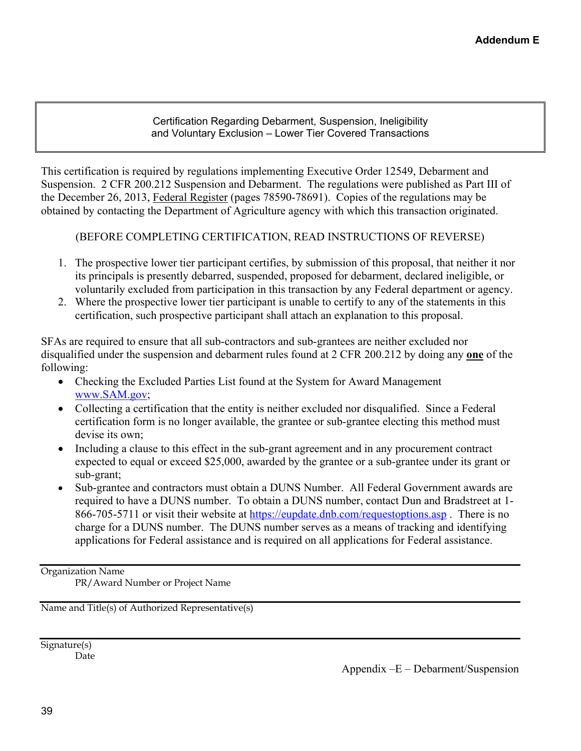Certification Regarding Debarment, Suspension, Ineligibility and Voluntary Exclusion – Lower Tier Covered Transactions

This certification is required by regulations implementing Executive Order 12549, Debarment and Suspension. 2 CFR 200.212 Suspension and Debarment. The regulations were published as Part III of the December 26, 2013, Federal Register (pages 78590-78691). Copies of the regulations may be obtained by contacting the Department of Agriculture agency with which this transaction originated.

(BEFORE COMPLETING CERTIFICATION, READ INSTRUCTIONS OF REVERSE)

- 1. The prospective lower tier participant certifies, by submission of this proposal, that neither it nor its principals is presently debarred, suspended, proposed for debarment, declared ineligible, or voluntarily excluded from participation in this transaction by any Federal department or agency.
- 2. Where the prospective lower tier participant is unable to certify to any of the statements in this certification, such prospective participant shall attach an explanation to this proposal.

SFAs are required to ensure that all sub-contractors and sub-grantees are neither excluded nor disqualified under the suspension and debarment rules found at 2 CFR 200.212 by doing any **one** of the following:

- Checking the Excluded Parties List found at the System for Award Management www.SAM.gov;
- Collecting a certification that the entity is neither excluded nor disqualified. Since a Federal certification form is no longer available, the grantee or sub-grantee electing this method must devise its own;
- Including a clause to this effect in the sub-grant agreement and in any procurement contract expected to equal or exceed \$25,000, awarded by the grantee or a sub-grantee under its grant or sub-grant;
- Sub-grantee and contractors must obtain a DUNS Number. All Federal Government awards are required to have a DUNS number. To obtain a DUNS number, contact Dun and Bradstreet at 1- 866-705-5711 or visit their website at https://eupdate.dnb.com/requestoptions.asp . There is no charge for a DUNS number. The DUNS number serves as a means of tracking and identifying applications for Federal assistance and is required on all applications for Federal assistance.

Organization Name

PR/Award Number or Project Name

Name and Title(s) of Authorized Representative(s)

Signature(s) Date

Appendix –E – Debarment/Suspension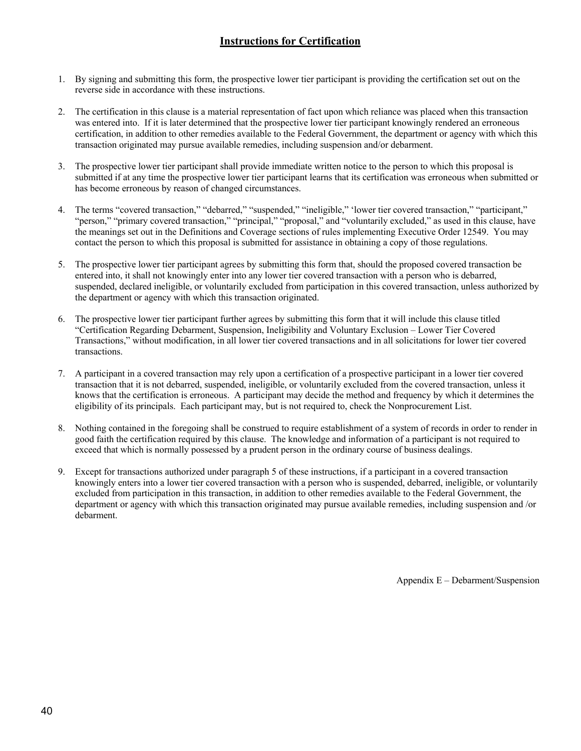#### **Instructions for Certification**

- 1. By signing and submitting this form, the prospective lower tier participant is providing the certification set out on the reverse side in accordance with these instructions.
- 2. The certification in this clause is a material representation of fact upon which reliance was placed when this transaction was entered into. If it is later determined that the prospective lower tier participant knowingly rendered an erroneous certification, in addition to other remedies available to the Federal Government, the department or agency with which this transaction originated may pursue available remedies, including suspension and/or debarment.
- 3. The prospective lower tier participant shall provide immediate written notice to the person to which this proposal is submitted if at any time the prospective lower tier participant learns that its certification was erroneous when submitted or has become erroneous by reason of changed circumstances.
- 4. The terms "covered transaction," "debarred," "suspended," "ineligible," 'lower tier covered transaction," "participant," "person," "primary covered transaction," "principal," "proposal," and "voluntarily excluded," as used in this clause, have the meanings set out in the Definitions and Coverage sections of rules implementing Executive Order 12549. You may contact the person to which this proposal is submitted for assistance in obtaining a copy of those regulations.
- 5. The prospective lower tier participant agrees by submitting this form that, should the proposed covered transaction be entered into, it shall not knowingly enter into any lower tier covered transaction with a person who is debarred, suspended, declared ineligible, or voluntarily excluded from participation in this covered transaction, unless authorized by the department or agency with which this transaction originated.
- 6. The prospective lower tier participant further agrees by submitting this form that it will include this clause titled "Certification Regarding Debarment, Suspension, Ineligibility and Voluntary Exclusion – Lower Tier Covered Transactions," without modification, in all lower tier covered transactions and in all solicitations for lower tier covered transactions.
- 7. A participant in a covered transaction may rely upon a certification of a prospective participant in a lower tier covered transaction that it is not debarred, suspended, ineligible, or voluntarily excluded from the covered transaction, unless it knows that the certification is erroneous. A participant may decide the method and frequency by which it determines the eligibility of its principals. Each participant may, but is not required to, check the Nonprocurement List.
- 8. Nothing contained in the foregoing shall be construed to require establishment of a system of records in order to render in good faith the certification required by this clause. The knowledge and information of a participant is not required to exceed that which is normally possessed by a prudent person in the ordinary course of business dealings.
- 9. Except for transactions authorized under paragraph 5 of these instructions, if a participant in a covered transaction knowingly enters into a lower tier covered transaction with a person who is suspended, debarred, ineligible, or voluntarily excluded from participation in this transaction, in addition to other remedies available to the Federal Government, the department or agency with which this transaction originated may pursue available remedies, including suspension and /or debarment.

Appendix E – Debarment/Suspension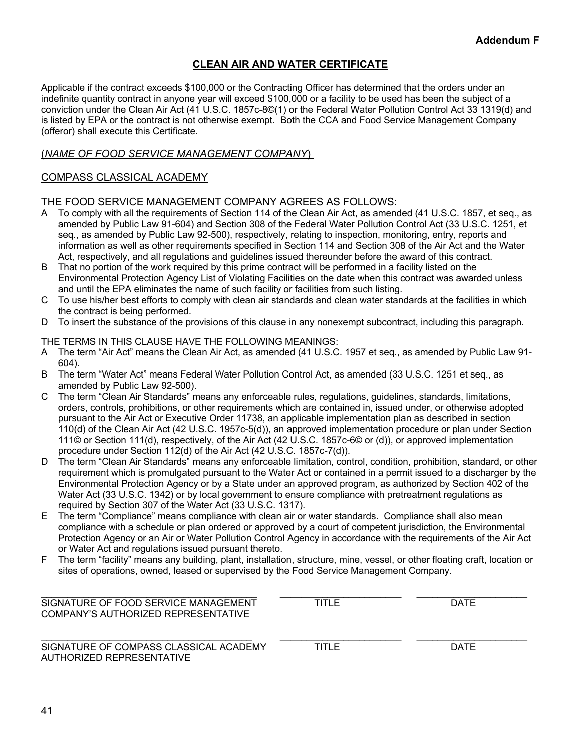#### **CLEAN AIR AND WATER CERTIFICATE**

Applicable if the contract exceeds \$100,000 or the Contracting Officer has determined that the orders under an indefinite quantity contract in anyone year will exceed \$100,000 or a facility to be used has been the subject of a conviction under the Clean Air Act (41 U.S.C. 1857c-8©(1) or the Federal Water Pollution Control Act 33 1319(d) and is listed by EPA or the contract is not otherwise exempt. Both the CCA and Food Service Management Company (offeror) shall execute this Certificate.

#### (*NAME OF FOOD SERVICE MANAGEMENT COMPANY*)

#### COMPASS CLASSICAL ACADEMY

THE FOOD SERVICE MANAGEMENT COMPANY AGREES AS FOLLOWS:

- A To comply with all the requirements of Section 114 of the Clean Air Act, as amended (41 U.S.C. 1857, et seq., as amended by Public Law 91-604) and Section 308 of the Federal Water Pollution Control Act (33 U.S.C. 1251, et seq., as amended by Public Law 92-500), respectively, relating to inspection, monitoring, entry, reports and information as well as other requirements specified in Section 114 and Section 308 of the Air Act and the Water Act, respectively, and all regulations and guidelines issued thereunder before the award of this contract.
- B That no portion of the work required by this prime contract will be performed in a facility listed on the Environmental Protection Agency List of Violating Facilities on the date when this contract was awarded unless and until the EPA eliminates the name of such facility or facilities from such listing.
- C To use his/her best efforts to comply with clean air standards and clean water standards at the facilities in which the contract is being performed.
- D To insert the substance of the provisions of this clause in any nonexempt subcontract, including this paragraph.

THE TERMS IN THIS CLAUSE HAVE THE FOLLOWING MEANINGS:

- A The term "Air Act" means the Clean Air Act, as amended (41 U.S.C. 1957 et seq., as amended by Public Law 91- 604).
- B The term "Water Act" means Federal Water Pollution Control Act, as amended (33 U.S.C. 1251 et seq., as amended by Public Law 92-500).
- C The term "Clean Air Standards" means any enforceable rules, regulations, guidelines, standards, limitations, orders, controls, prohibitions, or other requirements which are contained in, issued under, or otherwise adopted pursuant to the Air Act or Executive Order 11738, an applicable implementation plan as described in section 110(d) of the Clean Air Act (42 U.S.C. 1957c-5(d)), an approved implementation procedure or plan under Section 111© or Section 111(d), respectively, of the Air Act (42 U.S.C. 1857c-6© or (d)), or approved implementation procedure under Section 112(d) of the Air Act (42 U.S.C. 1857c-7(d)).
- D The term "Clean Air Standards" means any enforceable limitation, control, condition, prohibition, standard, or other requirement which is promulgated pursuant to the Water Act or contained in a permit issued to a discharger by the Environmental Protection Agency or by a State under an approved program, as authorized by Section 402 of the Water Act (33 U.S.C. 1342) or by local government to ensure compliance with pretreatment regulations as required by Section 307 of the Water Act (33 U.S.C. 1317).
- E The term "Compliance" means compliance with clean air or water standards. Compliance shall also mean compliance with a schedule or plan ordered or approved by a court of competent jurisdiction, the Environmental Protection Agency or an Air or Water Pollution Control Agency in accordance with the requirements of the Air Act or Water Act and regulations issued pursuant thereto.
- F The term "facility" means any building, plant, installation, structure, mine, vessel, or other floating craft, location or sites of operations, owned, leased or supervised by the Food Service Management Company.

| SIGNATURE OF FOOD SERVICE MANAGEMENT                                | TITI F | DATE        |
|---------------------------------------------------------------------|--------|-------------|
| COMPANY'S AUTHORIZED REPRESENTATIVE                                 |        |             |
| SIGNATURE OF COMPASS CLASSICAL ACADEMY<br>AUTHORIZED REPRESENTATIVE | TITI F | <b>DATE</b> |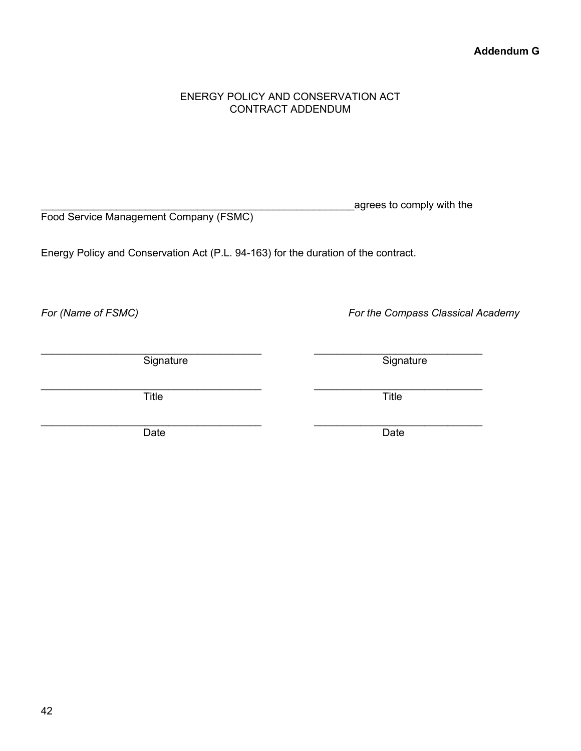42

#### ENERGY POLICY AND CONSERVATION ACT CONTRACT ADDENDUM

Food Service Management Company (FSMC)

Energy Policy and Conservation Act (P.L. 94-163) for the duration of the contract.

*For (Name of FSMC) For the Compass Classical Academy*

Signature Signature Signature

agrees to comply with the

 $\_$  , and the set of the set of the set of the set of the set of the set of the set of the set of the set of the set of the set of the set of the set of the set of the set of the set of the set of the set of the set of th Title **The Time Islam Title** Title

Date **Date Date Date Date Date** 

 $\mathcal{L}_\text{max}$  , and the contract of the contract of the contract of the contract of the contract of the contract of the contract of the contract of the contract of the contract of the contract of the contract of the contr